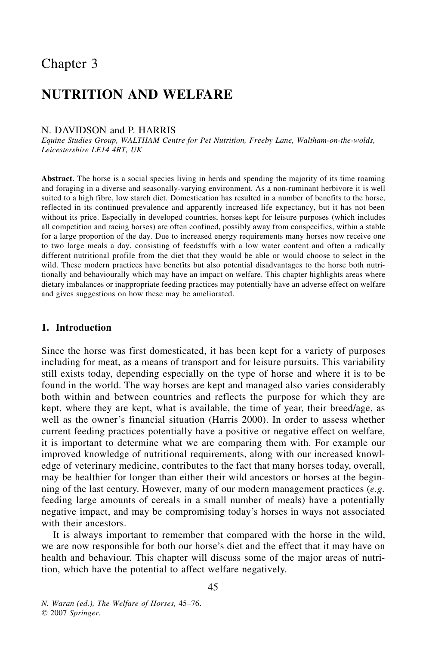# Chapter 3

# **NUTRITION AND WELFARE**

#### N. DAVIDSON and P. HARRIS

*Equine Studies Group, WALTHAM Centre for Pet Nutrition, Freeby Lane, Waltham-on-the-wolds, Leicestershire LE14 4RT, UK*

**Abstract.** The horse is a social species living in herds and spending the majority of its time roaming and foraging in a diverse and seasonally-varying environment. As a non-ruminant herbivore it is well suited to a high fibre, low starch diet. Domestication has resulted in a number of benefits to the horse, reflected in its continued prevalence and apparently increased life expectancy, but it has not been without its price. Especially in developed countries, horses kept for leisure purposes (which includes all competition and racing horses) are often confined, possibly away from conspecifics, within a stable for a large proportion of the day. Due to increased energy requirements many horses now receive one to two large meals a day, consisting of feedstuffs with a low water content and often a radically different nutritional profile from the diet that they would be able or would choose to select in the wild. These modern practices have benefits but also potential disadvantages to the horse both nutritionally and behaviourally which may have an impact on welfare. This chapter highlights areas where dietary imbalances or inappropriate feeding practices may potentially have an adverse effect on welfare and gives suggestions on how these may be ameliorated.

# **1. Introduction**

Since the horse was first domesticated, it has been kept for a variety of purposes including for meat, as a means of transport and for leisure pursuits. This variability still exists today, depending especially on the type of horse and where it is to be found in the world. The way horses are kept and managed also varies considerably both within and between countries and reflects the purpose for which they are kept, where they are kept, what is available, the time of year, their breed/age, as well as the owner's financial situation (Harris 2000). In order to assess whether current feeding practices potentially have a positive or negative effect on welfare, it is important to determine what we are comparing them with. For example our improved knowledge of nutritional requirements, along with our increased knowledge of veterinary medicine, contributes to the fact that many horses today, overall, may be healthier for longer than either their wild ancestors or horses at the beginning of the last century. However, many of our modern management practices (*e.g.* feeding large amounts of cereals in a small number of meals) have a potentially negative impact, and may be compromising today's horses in ways not associated with their ancestors.

It is always important to remember that compared with the horse in the wild, we are now responsible for both our horse's diet and the effect that it may have on health and behaviour. This chapter will discuss some of the major areas of nutrition, which have the potential to affect welfare negatively.

*N. Waran (ed.), The Welfare of Horses,* 45–76. © 2007 *Springer.*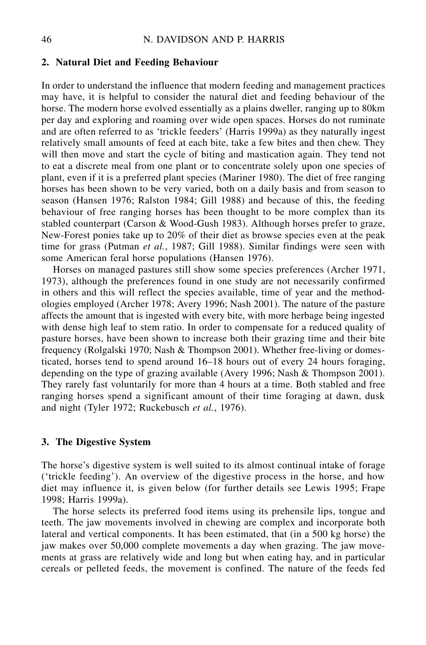#### **2. Natural Diet and Feeding Behaviour**

In order to understand the influence that modern feeding and management practices may have, it is helpful to consider the natural diet and feeding behaviour of the horse. The modern horse evolved essentially as a plains dweller, ranging up to 80km per day and exploring and roaming over wide open spaces. Horses do not ruminate and are often referred to as 'trickle feeders' (Harris 1999a) as they naturally ingest relatively small amounts of feed at each bite, take a few bites and then chew. They will then move and start the cycle of biting and mastication again. They tend not to eat a discrete meal from one plant or to concentrate solely upon one species of plant, even if it is a preferred plant species (Mariner 1980). The diet of free ranging horses has been shown to be very varied, both on a daily basis and from season to season (Hansen 1976; Ralston 1984; Gill 1988) and because of this, the feeding behaviour of free ranging horses has been thought to be more complex than its stabled counterpart (Carson & Wood-Gush 1983). Although horses prefer to graze, New-Forest ponies take up to 20% of their diet as browse species even at the peak time for grass (Putman *et al.*, 1987; Gill 1988). Similar findings were seen with some American feral horse populations (Hansen 1976).

Horses on managed pastures still show some species preferences (Archer 1971, 1973), although the preferences found in one study are not necessarily confirmed in others and this will reflect the species available, time of year and the methodologies employed (Archer 1978; Avery 1996; Nash 2001). The nature of the pasture affects the amount that is ingested with every bite, with more herbage being ingested with dense high leaf to stem ratio. In order to compensate for a reduced quality of pasture horses, have been shown to increase both their grazing time and their bite frequency (Rolgalski 1970; Nash & Thompson 2001). Whether free-living or domesticated, horses tend to spend around 16–18 hours out of every 24 hours foraging, depending on the type of grazing available (Avery 1996; Nash & Thompson 2001). They rarely fast voluntarily for more than 4 hours at a time. Both stabled and free ranging horses spend a significant amount of their time foraging at dawn, dusk and night (Tyler 1972; Ruckebusch *et al.*, 1976).

#### **3. The Digestive System**

The horse's digestive system is well suited to its almost continual intake of forage ('trickle feeding'). An overview of the digestive process in the horse, and how diet may influence it, is given below (for further details see Lewis 1995; Frape 1998; Harris 1999a).

The horse selects its preferred food items using its prehensile lips, tongue and teeth. The jaw movements involved in chewing are complex and incorporate both lateral and vertical components. It has been estimated, that (in a 500 kg horse) the jaw makes over 50,000 complete movements a day when grazing. The jaw movements at grass are relatively wide and long but when eating hay, and in particular cereals or pelleted feeds, the movement is confined. The nature of the feeds fed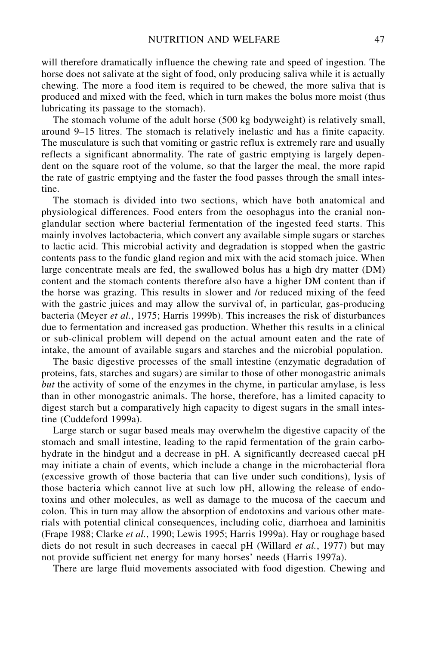will therefore dramatically influence the chewing rate and speed of ingestion. The horse does not salivate at the sight of food, only producing saliva while it is actually chewing. The more a food item is required to be chewed, the more saliva that is produced and mixed with the feed, which in turn makes the bolus more moist (thus lubricating its passage to the stomach).

The stomach volume of the adult horse (500 kg bodyweight) is relatively small, around 9–15 litres. The stomach is relatively inelastic and has a finite capacity. The musculature is such that vomiting or gastric reflux is extremely rare and usually reflects a significant abnormality. The rate of gastric emptying is largely dependent on the square root of the volume, so that the larger the meal, the more rapid the rate of gastric emptying and the faster the food passes through the small intestine.

The stomach is divided into two sections, which have both anatomical and physiological differences. Food enters from the oesophagus into the cranial nonglandular section where bacterial fermentation of the ingested feed starts. This mainly involves lactobacteria, which convert any available simple sugars or starches to lactic acid. This microbial activity and degradation is stopped when the gastric contents pass to the fundic gland region and mix with the acid stomach juice. When large concentrate meals are fed, the swallowed bolus has a high dry matter (DM) content and the stomach contents therefore also have a higher DM content than if the horse was grazing. This results in slower and /or reduced mixing of the feed with the gastric juices and may allow the survival of, in particular, gas-producing bacteria (Meyer *et al.*, 1975; Harris 1999b). This increases the risk of disturbances due to fermentation and increased gas production. Whether this results in a clinical or sub-clinical problem will depend on the actual amount eaten and the rate of intake, the amount of available sugars and starches and the microbial population.

The basic digestive processes of the small intestine (enzymatic degradation of proteins, fats, starches and sugars) are similar to those of other monogastric animals *but* the activity of some of the enzymes in the chyme, in particular amylase, is less than in other monogastric animals. The horse, therefore, has a limited capacity to digest starch but a comparatively high capacity to digest sugars in the small intestine (Cuddeford 1999a).

Large starch or sugar based meals may overwhelm the digestive capacity of the stomach and small intestine, leading to the rapid fermentation of the grain carbohydrate in the hindgut and a decrease in pH. A significantly decreased caecal pH may initiate a chain of events, which include a change in the microbacterial flora (excessive growth of those bacteria that can live under such conditions), lysis of those bacteria which cannot live at such low pH, allowing the release of endotoxins and other molecules, as well as damage to the mucosa of the caecum and colon. This in turn may allow the absorption of endotoxins and various other materials with potential clinical consequences, including colic, diarrhoea and laminitis (Frape 1988; Clarke *et al.*, 1990; Lewis 1995; Harris 1999a). Hay or roughage based diets do not result in such decreases in caecal pH (Willard *et al.*, 1977) but may not provide sufficient net energy for many horses' needs (Harris 1997a).

There are large fluid movements associated with food digestion. Chewing and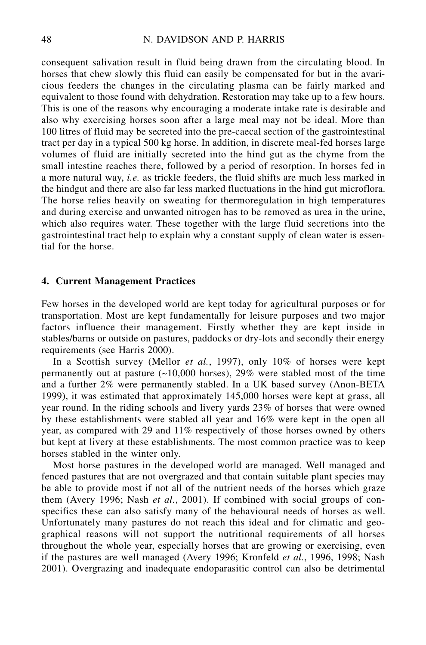consequent salivation result in fluid being drawn from the circulating blood. In horses that chew slowly this fluid can easily be compensated for but in the avaricious feeders the changes in the circulating plasma can be fairly marked and equivalent to those found with dehydration. Restoration may take up to a few hours. This is one of the reasons why encouraging a moderate intake rate is desirable and also why exercising horses soon after a large meal may not be ideal. More than 100 litres of fluid may be secreted into the pre-caecal section of the gastrointestinal tract per day in a typical 500 kg horse. In addition, in discrete meal-fed horses large volumes of fluid are initially secreted into the hind gut as the chyme from the small intestine reaches there, followed by a period of resorption. In horses fed in a more natural way, *i.e.* as trickle feeders, the fluid shifts are much less marked in the hindgut and there are also far less marked fluctuations in the hind gut microflora. The horse relies heavily on sweating for thermoregulation in high temperatures and during exercise and unwanted nitrogen has to be removed as urea in the urine, which also requires water. These together with the large fluid secretions into the gastrointestinal tract help to explain why a constant supply of clean water is essential for the horse.

## **4. Current Management Practices**

Few horses in the developed world are kept today for agricultural purposes or for transportation. Most are kept fundamentally for leisure purposes and two major factors influence their management. Firstly whether they are kept inside in stables/barns or outside on pastures, paddocks or dry-lots and secondly their energy requirements (see Harris 2000).

In a Scottish survey (Mellor *et al.*, 1997), only 10% of horses were kept permanently out at pasture  $(-10,000)$  horses), 29% were stabled most of the time and a further 2% were permanently stabled. In a UK based survey (Anon-BETA 1999), it was estimated that approximately 145,000 horses were kept at grass, all year round. In the riding schools and livery yards 23% of horses that were owned by these establishments were stabled all year and 16% were kept in the open all year, as compared with 29 and 11% respectively of those horses owned by others but kept at livery at these establishments. The most common practice was to keep horses stabled in the winter only.

Most horse pastures in the developed world are managed. Well managed and fenced pastures that are not overgrazed and that contain suitable plant species may be able to provide most if not all of the nutrient needs of the horses which graze them (Avery 1996; Nash *et al.*, 2001). If combined with social groups of conspecifics these can also satisfy many of the behavioural needs of horses as well. Unfortunately many pastures do not reach this ideal and for climatic and geographical reasons will not support the nutritional requirements of all horses throughout the whole year, especially horses that are growing or exercising, even if the pastures are well managed (Avery 1996; Kronfeld *et al.*, 1996, 1998; Nash 2001). Overgrazing and inadequate endoparasitic control can also be detrimental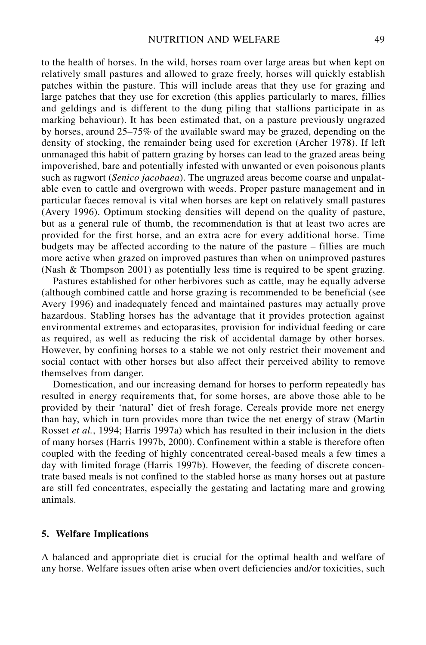to the health of horses. In the wild, horses roam over large areas but when kept on relatively small pastures and allowed to graze freely, horses will quickly establish patches within the pasture. This will include areas that they use for grazing and large patches that they use for excretion (this applies particularly to mares, fillies and geldings and is different to the dung piling that stallions participate in as marking behaviour). It has been estimated that, on a pasture previously ungrazed by horses, around 25–75% of the available sward may be grazed, depending on the density of stocking, the remainder being used for excretion (Archer 1978). If left unmanaged this habit of pattern grazing by horses can lead to the grazed areas being impoverished, bare and potentially infested with unwanted or even poisonous plants such as ragwort (*Senico jacobaea*). The ungrazed areas become coarse and unpalatable even to cattle and overgrown with weeds. Proper pasture management and in particular faeces removal is vital when horses are kept on relatively small pastures (Avery 1996). Optimum stocking densities will depend on the quality of pasture, but as a general rule of thumb, the recommendation is that at least two acres are provided for the first horse, and an extra acre for every additional horse. Time budgets may be affected according to the nature of the pasture – fillies are much more active when grazed on improved pastures than when on unimproved pastures (Nash & Thompson 2001) as potentially less time is required to be spent grazing.

Pastures established for other herbivores such as cattle, may be equally adverse (although combined cattle and horse grazing is recommended to be beneficial (see Avery 1996) and inadequately fenced and maintained pastures may actually prove hazardous. Stabling horses has the advantage that it provides protection against environmental extremes and ectoparasites, provision for individual feeding or care as required, as well as reducing the risk of accidental damage by other horses. However, by confining horses to a stable we not only restrict their movement and social contact with other horses but also affect their perceived ability to remove themselves from danger.

Domestication, and our increasing demand for horses to perform repeatedly has resulted in energy requirements that, for some horses, are above those able to be provided by their 'natural' diet of fresh forage. Cereals provide more net energy than hay, which in turn provides more than twice the net energy of straw (Martin Rosset *et al.*, 1994; Harris 1997a) which has resulted in their inclusion in the diets of many horses (Harris 1997b, 2000). Confinement within a stable is therefore often coupled with the feeding of highly concentrated cereal-based meals a few times a day with limited forage (Harris 1997b). However, the feeding of discrete concentrate based meals is not confined to the stabled horse as many horses out at pasture are still fed concentrates, especially the gestating and lactating mare and growing animals.

#### **5. Welfare Implications**

A balanced and appropriate diet is crucial for the optimal health and welfare of any horse. Welfare issues often arise when overt deficiencies and/or toxicities, such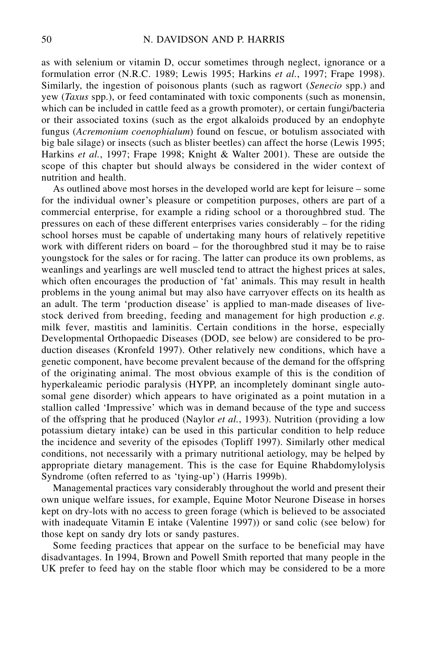as with selenium or vitamin D, occur sometimes through neglect, ignorance or a formulation error (N.R.C. 1989; Lewis 1995; Harkins *et al.*, 1997; Frape 1998). Similarly, the ingestion of poisonous plants (such as ragwort (*Senecio* spp.) and yew (*Taxus* spp.), or feed contaminated with toxic components (such as monensin, which can be included in cattle feed as a growth promoter), or certain fungi/bacteria or their associated toxins (such as the ergot alkaloids produced by an endophyte fungus (*Acremonium coenophialum*) found on fescue, or botulism associated with big bale silage) or insects (such as blister beetles) can affect the horse (Lewis 1995; Harkins *et al.*, 1997; Frape 1998; Knight & Walter 2001). These are outside the scope of this chapter but should always be considered in the wider context of nutrition and health.

As outlined above most horses in the developed world are kept for leisure – some for the individual owner's pleasure or competition purposes, others are part of a commercial enterprise, for example a riding school or a thoroughbred stud. The pressures on each of these different enterprises varies considerably – for the riding school horses must be capable of undertaking many hours of relatively repetitive work with different riders on board – for the thoroughbred stud it may be to raise youngstock for the sales or for racing. The latter can produce its own problems, as weanlings and yearlings are well muscled tend to attract the highest prices at sales, which often encourages the production of 'fat' animals. This may result in health problems in the young animal but may also have carryover effects on its health as an adult. The term 'production disease' is applied to man-made diseases of livestock derived from breeding, feeding and management for high production *e.g.* milk fever, mastitis and laminitis. Certain conditions in the horse, especially Developmental Orthopaedic Diseases (DOD, see below) are considered to be production diseases (Kronfeld 1997). Other relatively new conditions, which have a genetic component, have become prevalent because of the demand for the offspring of the originating animal. The most obvious example of this is the condition of hyperkaleamic periodic paralysis (HYPP, an incompletely dominant single autosomal gene disorder) which appears to have originated as a point mutation in a stallion called 'Impressive' which was in demand because of the type and success of the offspring that he produced (Naylor *et al.*, 1993). Nutrition (providing a low potassium dietary intake) can be used in this particular condition to help reduce the incidence and severity of the episodes (Topliff 1997). Similarly other medical conditions, not necessarily with a primary nutritional aetiology, may be helped by appropriate dietary management. This is the case for Equine Rhabdomylolysis Syndrome (often referred to as 'tying-up') (Harris 1999b).

Managemental practices vary considerably throughout the world and present their own unique welfare issues, for example, Equine Motor Neurone Disease in horses kept on dry-lots with no access to green forage (which is believed to be associated with inadequate Vitamin E intake (Valentine 1997)) or sand colic (see below) for those kept on sandy dry lots or sandy pastures.

Some feeding practices that appear on the surface to be beneficial may have disadvantages. In 1994, Brown and Powell Smith reported that many people in the UK prefer to feed hay on the stable floor which may be considered to be a more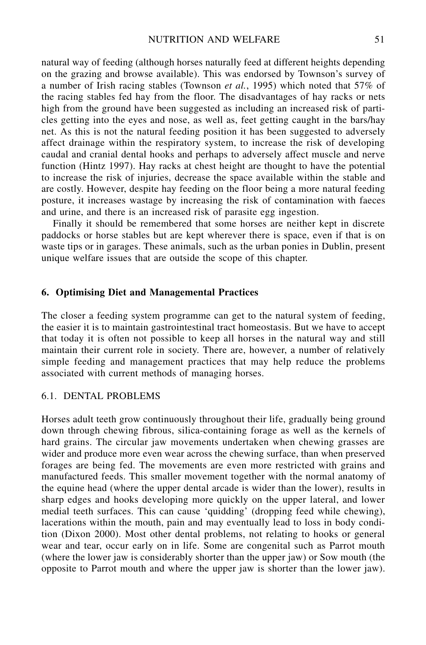natural way of feeding (although horses naturally feed at different heights depending on the grazing and browse available). This was endorsed by Townson's survey of a number of Irish racing stables (Townson *et al.*, 1995) which noted that 57% of the racing stables fed hay from the floor. The disadvantages of hay racks or nets high from the ground have been suggested as including an increased risk of particles getting into the eyes and nose, as well as, feet getting caught in the bars/hay net. As this is not the natural feeding position it has been suggested to adversely affect drainage within the respiratory system, to increase the risk of developing caudal and cranial dental hooks and perhaps to adversely affect muscle and nerve function (Hintz 1997). Hay racks at chest height are thought to have the potential to increase the risk of injuries, decrease the space available within the stable and are costly. However, despite hay feeding on the floor being a more natural feeding posture, it increases wastage by increasing the risk of contamination with faeces and urine, and there is an increased risk of parasite egg ingestion.

Finally it should be remembered that some horses are neither kept in discrete paddocks or horse stables but are kept wherever there is space, even if that is on waste tips or in garages. These animals, such as the urban ponies in Dublin, present unique welfare issues that are outside the scope of this chapter.

#### **6. Optimising Diet and Managemental Practices**

The closer a feeding system programme can get to the natural system of feeding, the easier it is to maintain gastrointestinal tract homeostasis. But we have to accept that today it is often not possible to keep all horses in the natural way and still maintain their current role in society. There are, however, a number of relatively simple feeding and management practices that may help reduce the problems associated with current methods of managing horses.

#### 6.1. DENTAL PROBLEMS

Horses adult teeth grow continuously throughout their life, gradually being ground down through chewing fibrous, silica-containing forage as well as the kernels of hard grains. The circular jaw movements undertaken when chewing grasses are wider and produce more even wear across the chewing surface, than when preserved forages are being fed. The movements are even more restricted with grains and manufactured feeds. This smaller movement together with the normal anatomy of the equine head (where the upper dental arcade is wider than the lower), results in sharp edges and hooks developing more quickly on the upper lateral, and lower medial teeth surfaces. This can cause 'quidding' (dropping feed while chewing), lacerations within the mouth, pain and may eventually lead to loss in body condition (Dixon 2000). Most other dental problems, not relating to hooks or general wear and tear, occur early on in life. Some are congenital such as Parrot mouth (where the lower jaw is considerably shorter than the upper jaw) or Sow mouth (the opposite to Parrot mouth and where the upper jaw is shorter than the lower jaw).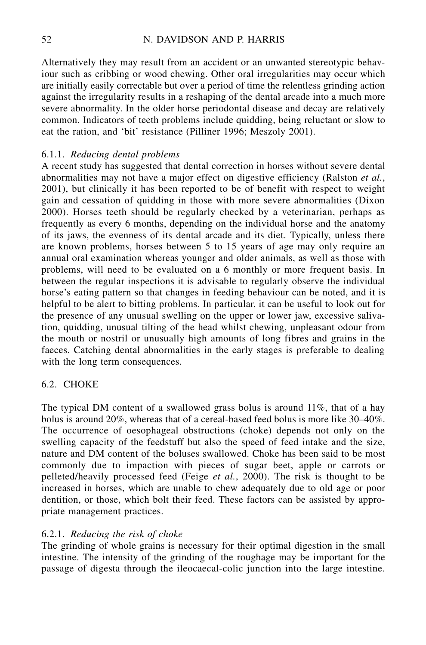Alternatively they may result from an accident or an unwanted stereotypic behaviour such as cribbing or wood chewing. Other oral irregularities may occur which are initially easily correctable but over a period of time the relentless grinding action against the irregularity results in a reshaping of the dental arcade into a much more severe abnormality. In the older horse periodontal disease and decay are relatively common. Indicators of teeth problems include quidding, being reluctant or slow to eat the ration, and 'bit' resistance (Pilliner 1996; Meszoly 2001).

## 6.1.1. *Reducing dental problems*

A recent study has suggested that dental correction in horses without severe dental abnormalities may not have a major effect on digestive efficiency (Ralston *et al.*, 2001), but clinically it has been reported to be of benefit with respect to weight gain and cessation of quidding in those with more severe abnormalities (Dixon 2000). Horses teeth should be regularly checked by a veterinarian, perhaps as frequently as every 6 months, depending on the individual horse and the anatomy of its jaws, the evenness of its dental arcade and its diet. Typically, unless there are known problems, horses between 5 to 15 years of age may only require an annual oral examination whereas younger and older animals, as well as those with problems, will need to be evaluated on a 6 monthly or more frequent basis. In between the regular inspections it is advisable to regularly observe the individual horse's eating pattern so that changes in feeding behaviour can be noted, and it is helpful to be alert to bitting problems. In particular, it can be useful to look out for the presence of any unusual swelling on the upper or lower jaw, excessive salivation, quidding, unusual tilting of the head whilst chewing, unpleasant odour from the mouth or nostril or unusually high amounts of long fibres and grains in the faeces. Catching dental abnormalities in the early stages is preferable to dealing with the long term consequences.

## 6.2. CHOKE

The typical DM content of a swallowed grass bolus is around 11%, that of a hay bolus is around 20%, whereas that of a cereal-based feed bolus is more like 30–40%. The occurrence of oesophageal obstructions (choke) depends not only on the swelling capacity of the feedstuff but also the speed of feed intake and the size, nature and DM content of the boluses swallowed. Choke has been said to be most commonly due to impaction with pieces of sugar beet, apple or carrots or pelleted/heavily processed feed (Feige *et al.*, 2000). The risk is thought to be increased in horses, which are unable to chew adequately due to old age or poor dentition, or those, which bolt their feed. These factors can be assisted by appropriate management practices.

## 6.2.1. *Reducing the risk of choke*

The grinding of whole grains is necessary for their optimal digestion in the small intestine. The intensity of the grinding of the roughage may be important for the passage of digesta through the ileocaecal-colic junction into the large intestine.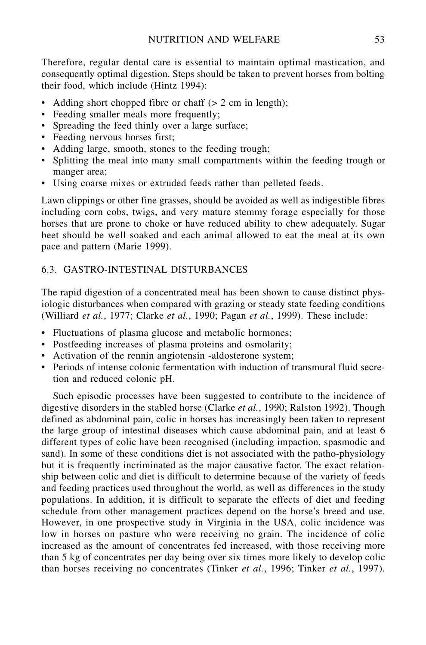Therefore, regular dental care is essential to maintain optimal mastication, and consequently optimal digestion. Steps should be taken to prevent horses from bolting their food, which include (Hintz 1994):

- Adding short chopped fibre or chaff  $(> 2 \text{ cm in length})$ ;
- Feeding smaller meals more frequently;
- Spreading the feed thinly over a large surface;
- Feeding nervous horses first:
- Adding large, smooth, stones to the feeding trough;
- Splitting the meal into many small compartments within the feeding trough or manger area;
- Using coarse mixes or extruded feeds rather than pelleted feeds.

Lawn clippings or other fine grasses, should be avoided as well as indigestible fibres including corn cobs, twigs, and very mature stemmy forage especially for those horses that are prone to choke or have reduced ability to chew adequately. Sugar beet should be well soaked and each animal allowed to eat the meal at its own pace and pattern (Marie 1999).

# 6.3. GASTRO-INTESTINAL DISTURBANCES

The rapid digestion of a concentrated meal has been shown to cause distinct physiologic disturbances when compared with grazing or steady state feeding conditions (Williard *et al.*, 1977; Clarke *et al.*, 1990; Pagan *et al.*, 1999). These include:

- Fluctuations of plasma glucose and metabolic hormones;
- Postfeeding increases of plasma proteins and osmolarity;
- Activation of the rennin angiotensin -aldosterone system;
- Periods of intense colonic fermentation with induction of transmural fluid secretion and reduced colonic pH.

Such episodic processes have been suggested to contribute to the incidence of digestive disorders in the stabled horse (Clarke *et al.*, 1990; Ralston 1992). Though defined as abdominal pain, colic in horses has increasingly been taken to represent the large group of intestinal diseases which cause abdominal pain, and at least 6 different types of colic have been recognised (including impaction, spasmodic and sand). In some of these conditions diet is not associated with the patho-physiology but it is frequently incriminated as the major causative factor. The exact relationship between colic and diet is difficult to determine because of the variety of feeds and feeding practices used throughout the world, as well as differences in the study populations. In addition, it is difficult to separate the effects of diet and feeding schedule from other management practices depend on the horse's breed and use. However, in one prospective study in Virginia in the USA, colic incidence was low in horses on pasture who were receiving no grain. The incidence of colic increased as the amount of concentrates fed increased, with those receiving more than 5 kg of concentrates per day being over six times more likely to develop colic than horses receiving no concentrates (Tinker *et al.*, 1996; Tinker *et al.*, 1997).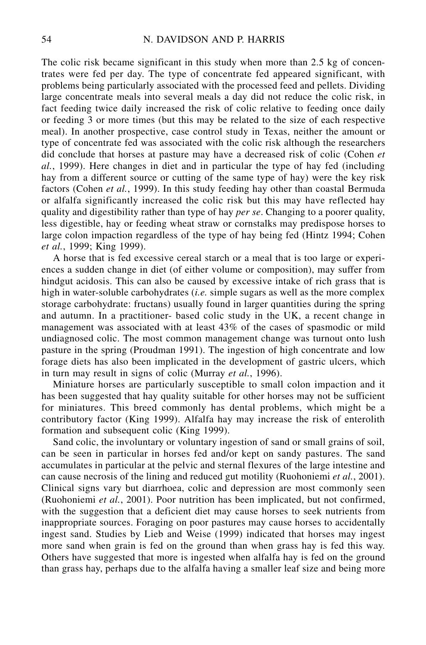The colic risk became significant in this study when more than 2.5 kg of concentrates were fed per day. The type of concentrate fed appeared significant, with problems being particularly associated with the processed feed and pellets. Dividing large concentrate meals into several meals a day did not reduce the colic risk, in fact feeding twice daily increased the risk of colic relative to feeding once daily or feeding 3 or more times (but this may be related to the size of each respective meal). In another prospective, case control study in Texas, neither the amount or type of concentrate fed was associated with the colic risk although the researchers did conclude that horses at pasture may have a decreased risk of colic (Cohen *et al.*, 1999). Here changes in diet and in particular the type of hay fed (including hay from a different source or cutting of the same type of hay) were the key risk factors (Cohen *et al.*, 1999). In this study feeding hay other than coastal Bermuda or alfalfa significantly increased the colic risk but this may have reflected hay quality and digestibility rather than type of hay *per se*. Changing to a poorer quality, less digestible, hay or feeding wheat straw or cornstalks may predispose horses to large colon impaction regardless of the type of hay being fed (Hintz 1994; Cohen *et al.*, 1999; King 1999).

A horse that is fed excessive cereal starch or a meal that is too large or experiences a sudden change in diet (of either volume or composition), may suffer from hindgut acidosis. This can also be caused by excessive intake of rich grass that is high in water-soluble carbohydrates (*i.e.* simple sugars as well as the more complex storage carbohydrate: fructans) usually found in larger quantities during the spring and autumn. In a practitioner- based colic study in the UK, a recent change in management was associated with at least 43% of the cases of spasmodic or mild undiagnosed colic. The most common management change was turnout onto lush pasture in the spring (Proudman 1991). The ingestion of high concentrate and low forage diets has also been implicated in the development of gastric ulcers, which in turn may result in signs of colic (Murray *et al.*, 1996).

Miniature horses are particularly susceptible to small colon impaction and it has been suggested that hay quality suitable for other horses may not be sufficient for miniatures. This breed commonly has dental problems, which might be a contributory factor (King 1999). Alfalfa hay may increase the risk of enterolith formation and subsequent colic (King 1999).

Sand colic, the involuntary or voluntary ingestion of sand or small grains of soil, can be seen in particular in horses fed and/or kept on sandy pastures. The sand accumulates in particular at the pelvic and sternal flexures of the large intestine and can cause necrosis of the lining and reduced gut motility (Ruohoniemi *et al.*, 2001). Clinical signs vary but diarrhoea, colic and depression are most commonly seen (Ruohoniemi *et al.*, 2001). Poor nutrition has been implicated, but not confirmed, with the suggestion that a deficient diet may cause horses to seek nutrients from inappropriate sources. Foraging on poor pastures may cause horses to accidentally ingest sand. Studies by Lieb and Weise (1999) indicated that horses may ingest more sand when grain is fed on the ground than when grass hay is fed this way. Others have suggested that more is ingested when alfalfa hay is fed on the ground than grass hay, perhaps due to the alfalfa having a smaller leaf size and being more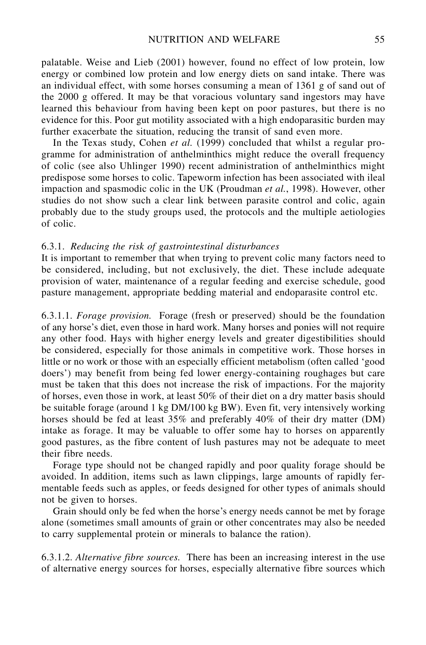palatable. Weise and Lieb (2001) however, found no effect of low protein, low energy or combined low protein and low energy diets on sand intake. There was an individual effect, with some horses consuming a mean of 1361 g of sand out of the 2000 g offered. It may be that voracious voluntary sand ingestors may have learned this behaviour from having been kept on poor pastures, but there is no evidence for this. Poor gut motility associated with a high endoparasitic burden may further exacerbate the situation, reducing the transit of sand even more.

In the Texas study, Cohen *et al.* (1999) concluded that whilst a regular programme for administration of anthelminthics might reduce the overall frequency of colic (see also Uhlinger 1990) recent administration of anthelminthics might predispose some horses to colic. Tapeworm infection has been associated with ileal impaction and spasmodic colic in the UK (Proudman *et al.*, 1998). However, other studies do not show such a clear link between parasite control and colic, again probably due to the study groups used, the protocols and the multiple aetiologies of colic.

#### 6.3.1. *Reducing the risk of gastrointestinal disturbances*

It is important to remember that when trying to prevent colic many factors need to be considered, including, but not exclusively, the diet. These include adequate provision of water, maintenance of a regular feeding and exercise schedule, good pasture management, appropriate bedding material and endoparasite control etc.

6.3.1.1. *Forage provision.* Forage (fresh or preserved) should be the foundation of any horse's diet, even those in hard work. Many horses and ponies will not require any other food. Hays with higher energy levels and greater digestibilities should be considered, especially for those animals in competitive work. Those horses in little or no work or those with an especially efficient metabolism (often called 'good doers') may benefit from being fed lower energy-containing roughages but care must be taken that this does not increase the risk of impactions. For the majority of horses, even those in work, at least 50% of their diet on a dry matter basis should be suitable forage (around 1 kg DM/100 kg BW). Even fit, very intensively working horses should be fed at least 35% and preferably 40% of their dry matter (DM) intake as forage. It may be valuable to offer some hay to horses on apparently good pastures, as the fibre content of lush pastures may not be adequate to meet their fibre needs.

Forage type should not be changed rapidly and poor quality forage should be avoided. In addition, items such as lawn clippings, large amounts of rapidly fermentable feeds such as apples, or feeds designed for other types of animals should not be given to horses.

Grain should only be fed when the horse's energy needs cannot be met by forage alone (sometimes small amounts of grain or other concentrates may also be needed to carry supplemental protein or minerals to balance the ration).

6.3.1.2. *Alternative fibre sources.* There has been an increasing interest in the use of alternative energy sources for horses, especially alternative fibre sources which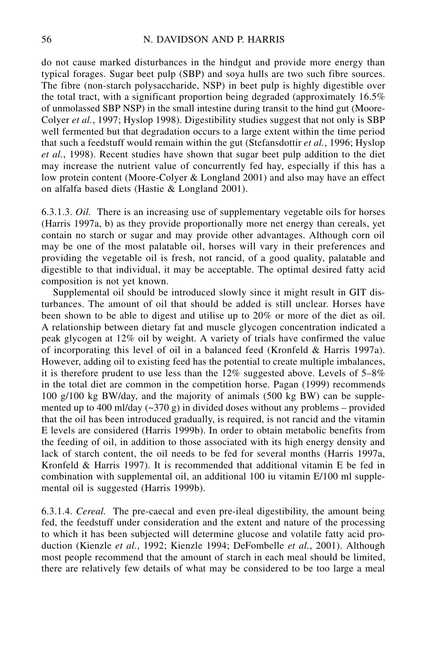do not cause marked disturbances in the hindgut and provide more energy than typical forages. Sugar beet pulp (SBP) and soya hulls are two such fibre sources. The fibre (non-starch polysaccharide, NSP) in beet pulp is highly digestible over the total tract, with a significant proportion being degraded (approximately 16.5% of unmolassed SBP NSP) in the small intestine during transit to the hind gut (Moore-Colyer *et al.*, 1997; Hyslop 1998). Digestibility studies suggest that not only is SBP well fermented but that degradation occurs to a large extent within the time period that such a feedstuff would remain within the gut (Stefansdottir *et al.*, 1996; Hyslop *et al.*, 1998). Recent studies have shown that sugar beet pulp addition to the diet may increase the nutrient value of concurrently fed hay, especially if this has a low protein content (Moore-Colyer & Longland 2001) and also may have an effect on alfalfa based diets (Hastie & Longland 2001).

6.3.1.3. *Oil.* There is an increasing use of supplementary vegetable oils for horses (Harris 1997a, b) as they provide proportionally more net energy than cereals, yet contain no starch or sugar and may provide other advantages. Although corn oil may be one of the most palatable oil, horses will vary in their preferences and providing the vegetable oil is fresh, not rancid, of a good quality, palatable and digestible to that individual, it may be acceptable. The optimal desired fatty acid composition is not yet known.

Supplemental oil should be introduced slowly since it might result in GIT disturbances. The amount of oil that should be added is still unclear. Horses have been shown to be able to digest and utilise up to 20% or more of the diet as oil. A relationship between dietary fat and muscle glycogen concentration indicated a peak glycogen at 12% oil by weight. A variety of trials have confirmed the value of incorporating this level of oil in a balanced feed (Kronfeld & Harris 1997a). However, adding oil to existing feed has the potential to create multiple imbalances, it is therefore prudent to use less than the  $12\%$  suggested above. Levels of  $5-8\%$ in the total diet are common in the competition horse. Pagan (1999) recommends 100 g/100 kg BW/day, and the majority of animals (500 kg BW) can be supplemented up to 400 ml/day  $(\sim 370 \text{ g})$  in divided doses without any problems – provided that the oil has been introduced gradually, is required, is not rancid and the vitamin E levels are considered (Harris 1999b). In order to obtain metabolic benefits from the feeding of oil, in addition to those associated with its high energy density and lack of starch content, the oil needs to be fed for several months (Harris 1997a, Kronfeld & Harris 1997). It is recommended that additional vitamin E be fed in combination with supplemental oil, an additional 100 iu vitamin E/100 ml supplemental oil is suggested (Harris 1999b).

6.3.1.4. *Cereal.* The pre-caecal and even pre-ileal digestibility, the amount being fed, the feedstuff under consideration and the extent and nature of the processing to which it has been subjected will determine glucose and volatile fatty acid production (Kienzle *et al.*, 1992; Kienzle 1994; DeFombelle *et al.*, 2001). Although most people recommend that the amount of starch in each meal should be limited, there are relatively few details of what may be considered to be too large a meal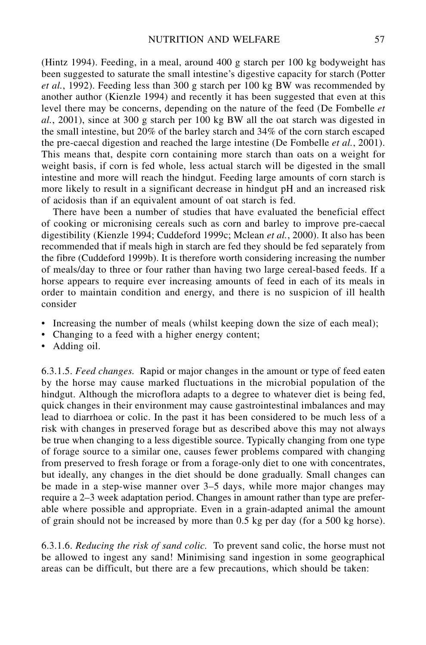(Hintz 1994). Feeding, in a meal, around 400 g starch per 100 kg bodyweight has been suggested to saturate the small intestine's digestive capacity for starch (Potter *et al.*, 1992). Feeding less than 300 g starch per 100 kg BW was recommended by another author (Kienzle 1994) and recently it has been suggested that even at this level there may be concerns, depending on the nature of the feed (De Fombelle *et al.*, 2001), since at 300 g starch per 100 kg BW all the oat starch was digested in the small intestine, but 20% of the barley starch and 34% of the corn starch escaped the pre-caecal digestion and reached the large intestine (De Fombelle *et al.*, 2001). This means that, despite corn containing more starch than oats on a weight for weight basis, if corn is fed whole, less actual starch will be digested in the small intestine and more will reach the hindgut. Feeding large amounts of corn starch is more likely to result in a significant decrease in hindgut pH and an increased risk of acidosis than if an equivalent amount of oat starch is fed.

There have been a number of studies that have evaluated the beneficial effect of cooking or micronising cereals such as corn and barley to improve pre-caecal digestibility (Kienzle 1994; Cuddeford 1999c; Mclean *et al.*, 2000). It also has been recommended that if meals high in starch are fed they should be fed separately from the fibre (Cuddeford 1999b). It is therefore worth considering increasing the number of meals/day to three or four rather than having two large cereal-based feeds. If a horse appears to require ever increasing amounts of feed in each of its meals in order to maintain condition and energy, and there is no suspicion of ill health consider

- Increasing the number of meals (whilst keeping down the size of each meal);
- Changing to a feed with a higher energy content;
- Adding oil.

6.3.1.5. *Feed changes.* Rapid or major changes in the amount or type of feed eaten by the horse may cause marked fluctuations in the microbial population of the hindgut. Although the microflora adapts to a degree to whatever diet is being fed, quick changes in their environment may cause gastrointestinal imbalances and may lead to diarrhoea or colic. In the past it has been considered to be much less of a risk with changes in preserved forage but as described above this may not always be true when changing to a less digestible source. Typically changing from one type of forage source to a similar one, causes fewer problems compared with changing from preserved to fresh forage or from a forage-only diet to one with concentrates, but ideally, any changes in the diet should be done gradually. Small changes can be made in a step-wise manner over 3–5 days, while more major changes may require a 2–3 week adaptation period. Changes in amount rather than type are preferable where possible and appropriate. Even in a grain-adapted animal the amount of grain should not be increased by more than 0.5 kg per day (for a 500 kg horse).

6.3.1.6. *Reducing the risk of sand colic.* To prevent sand colic, the horse must not be allowed to ingest any sand! Minimising sand ingestion in some geographical areas can be difficult, but there are a few precautions, which should be taken: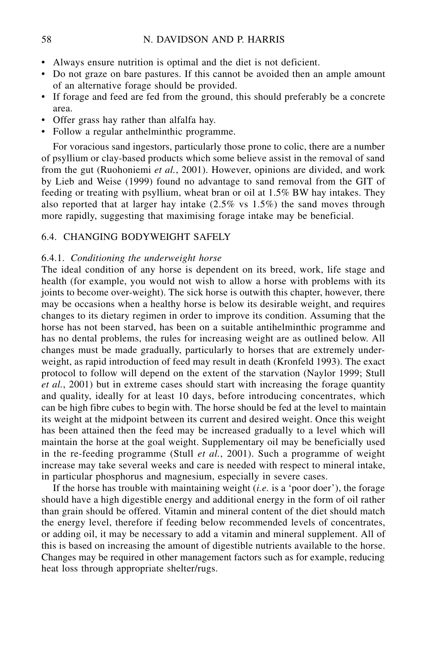- Always ensure nutrition is optimal and the diet is not deficient.
- Do not graze on bare pastures. If this cannot be avoided then an ample amount of an alternative forage should be provided.
- If forage and feed are fed from the ground, this should preferably be a concrete area.
- Offer grass hay rather than alfalfa hay.
- Follow a regular anthelminthic programme.

For voracious sand ingestors, particularly those prone to colic, there are a number of psyllium or clay-based products which some believe assist in the removal of sand from the gut (Ruohoniemi *et al.*, 2001). However, opinions are divided, and work by Lieb and Weise (1999) found no advantage to sand removal from the GIT of feeding or treating with psyllium, wheat bran or oil at 1.5% BW hay intakes. They also reported that at larger hay intake (2.5% vs 1.5%) the sand moves through more rapidly, suggesting that maximising forage intake may be beneficial.

## 6.4. CHANGING BODYWEIGHT SAFELY

#### 6.4.1. *Conditioning the underweight horse*

The ideal condition of any horse is dependent on its breed, work, life stage and health (for example, you would not wish to allow a horse with problems with its joints to become over-weight). The sick horse is outwith this chapter, however, there may be occasions when a healthy horse is below its desirable weight, and requires changes to its dietary regimen in order to improve its condition. Assuming that the horse has not been starved, has been on a suitable antihelminthic programme and has no dental problems, the rules for increasing weight are as outlined below. All changes must be made gradually, particularly to horses that are extremely underweight, as rapid introduction of feed may result in death (Kronfeld 1993). The exact protocol to follow will depend on the extent of the starvation (Naylor 1999; Stull *et al.*, 2001) but in extreme cases should start with increasing the forage quantity and quality, ideally for at least 10 days, before introducing concentrates, which its weight at the midpoint between its current and desired weight. Once this weight has been attained then the feed may be increased gradually to a level which will maintain the horse at the goal weight. Supplementary oil may be beneficially used in the re-feeding programme (Stull *et al.*, 2001). Such a programme of weight increase may take several weeks and care is needed with respect to mineral intake, in particular phosphorus and magnesium, especially in severe cases. can be high fibre cubes to begin with. The horse should be fed at the level to maintain

If the horse has trouble with maintaining weight (*i.e.* is a 'poor doer'), the forage should have a high digestible energy and additional energy in the form of oil rather than grain should be offered. Vitamin and mineral content of the diet should match the energy level, therefore if feeding below recommended levels of concentrates, or adding oil, it may be necessary to add a vitamin and mineral supplement. All of this is based on increasing the amount of digestible nutrients available to the horse. Changes may be required in other management factors such as for example, reducing heat loss through appropriate shelter/rugs.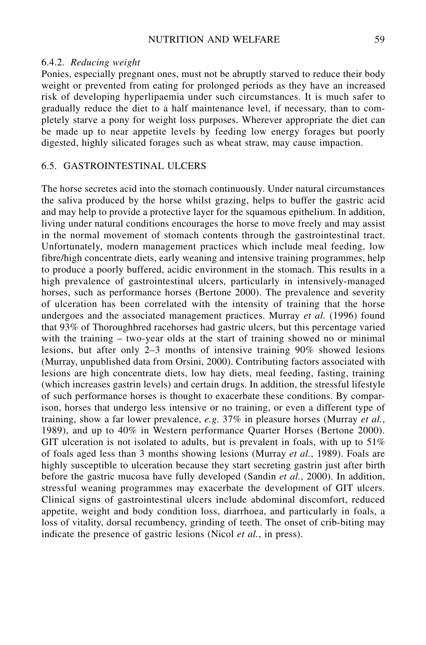#### 6.4.2. *Reducing weight*

Ponies, especially pregnant ones, must not be abruptly starved to reduce their body weight or prevented from eating for prolonged periods as they have an increased risk of developing hyperlipaemia under such circumstances. It is much safer to gradually reduce the diet to a half maintenance level, if necessary, than to completely starve a pony for weight loss purposes. Wherever appropriate the diet can be made up to near appetite levels by feeding low energy forages but poorly digested, highly silicated forages such as wheat straw, may cause impaction.

#### 6.5. GASTROINTESTINAL ULCERS

The horse secretes acid into the stomach continuously. Under natural circumstances the saliva produced by the horse whilst grazing, helps to buffer the gastric acid and may help to provide a protective layer for the squamous epithelium. In addition, living under natural conditions encourages the horse to move freely and may assist in the normal movement of stomach contents through the gastrointestinal tract. Unfortunately, modern management practices which include meal feeding, low fibre/high concentrate diets, early weaning and intensive training programmes, help to produce a poorly buffered, acidic environment in the stomach. This results in a high prevalence of gastrointestinal ulcers, particularly in intensively-managed horses, such as performance horses (Bertone 2000). The prevalence and severity of ulceration has been correlated with the intensity of training that the horse undergoes and the associated management practices. Murray *et al.* (1996) found that 93% of Thoroughbred racehorses had gastric ulcers, but this percentage varied with the training – two-year olds at the start of training showed no or minimal lesions, but after only 2–3 months of intensive training 90% showed lesions (Murray, unpublished data from Orsini, 2000). Contributing factors associated with lesions are high concentrate diets, low hay diets, meal feeding, fasting, training (which increases gastrin levels) and certain drugs. In addition, the stressful lifestyle of such performance horses is thought to exacerbate these conditions. By comparison, horses that undergo less intensive or no training, or even a different type of training, show a far lower prevalence, *e.g.* 37% in pleasure horses (Murray *et al.*, 1989), and up to 40% in Western performance Quarter Horses (Bertone 2000). GIT ulceration is not isolated to adults, but is prevalent in foals, with up to  $51\%$ of foals aged less than 3 months showing lesions (Murray *et al.*, 1989). Foals are highly susceptible to ulceration because they start secreting gastrin just after birth before the gastric mucosa have fully developed (Sandin *et al.*, 2000). In addition, stressful weaning programmes may exacerbate the development of GIT ulcers. Clinical signs of gastrointestinal ulcers include abdominal discomfort, reduced appetite, weight and body condition loss, diarrhoea, and particularly in foals, a loss of vitality, dorsal recumbency, grinding of teeth. The onset of crib-biting may indicate the presence of gastric lesions (Nicol *et al.*, in press).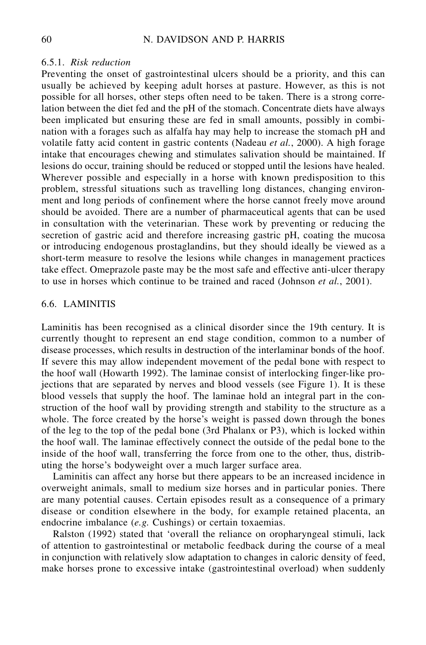### 6.5.1. *Risk reduction*

Preventing the onset of gastrointestinal ulcers should be a priority, and this can usually be achieved by keeping adult horses at pasture. However, as this is not possible for all horses, other steps often need to be taken. There is a strong correlation between the diet fed and the pH of the stomach. Concentrate diets have always been implicated but ensuring these are fed in small amounts, possibly in combination with a forages such as alfalfa hay may help to increase the stomach pH and volatile fatty acid content in gastric contents (Nadeau *et al.*, 2000). A high forage intake that encourages chewing and stimulates salivation should be maintained. If lesions do occur, training should be reduced or stopped until the lesions have healed. Wherever possible and especially in a horse with known predisposition to this problem, stressful situations such as travelling long distances, changing environment and long periods of confinement where the horse cannot freely move around should be avoided. There are a number of pharmaceutical agents that can be used in consultation with the veterinarian. These work by preventing or reducing the secretion of gastric acid and therefore increasing gastric pH, coating the mucosa or introducing endogenous prostaglandins, but they should ideally be viewed as a short-term measure to resolve the lesions while changes in management practices take effect. Omeprazole paste may be the most safe and effective anti-ulcer therapy to use in horses which continue to be trained and raced (Johnson *et al.*, 2001).

#### 6.6. LAMINITIS

Laminitis has been recognised as a clinical disorder since the 19th century. It is currently thought to represent an end stage condition, common to a number of disease processes, which results in destruction of the interlaminar bonds of the hoof. If severe this may allow independent movement of the pedal bone with respect to the hoof wall (Howarth 1992). The laminae consist of interlocking finger-like projections that are separated by nerves and blood vessels (see Figure 1). It is these blood vessels that supply the hoof. The laminae hold an integral part in the construction of the hoof wall by providing strength and stability to the structure as a whole. The force created by the horse's weight is passed down through the bones of the leg to the top of the pedal bone (3rd Phalanx or P3), which is locked within the hoof wall. The laminae effectively connect the outside of the pedal bone to the inside of the hoof wall, transferring the force from one to the other, thus, distributing the horse's bodyweight over a much larger surface area.

Laminitis can affect any horse but there appears to be an increased incidence in overweight animals, small to medium size horses and in particular ponies. There are many potential causes. Certain episodes result as a consequence of a primary disease or condition elsewhere in the body, for example retained placenta, an endocrine imbalance (*e.g.* Cushings) or certain toxaemias.

Ralston (1992) stated that 'overall the reliance on oropharyngeal stimuli, lack of attention to gastrointestinal or metabolic feedback during the course of a meal in conjunction with relatively slow adaptation to changes in caloric density of feed, make horses prone to excessive intake (gastrointestinal overload) when suddenly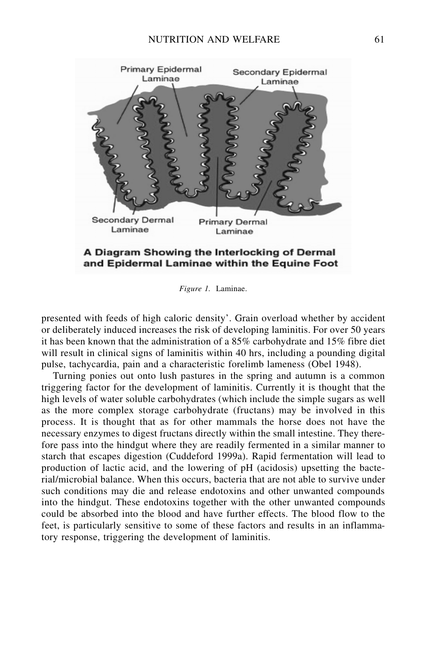

*Figure 1.* Laminae.

presented with feeds of high caloric density'. Grain overload whether by accident or deliberately induced increases the risk of developing laminitis. For over 50 years it has been known that the administration of a 85% carbohydrate and 15% fibre diet will result in clinical signs of laminitis within 40 hrs, including a pounding digital pulse, tachycardia, pain and a characteristic forelimb lameness (Obel 1948).

Turning ponies out onto lush pastures in the spring and autumn is a common triggering factor for the development of laminitis. Currently it is thought that the high levels of water soluble carbohydrates (which include the simple sugars as well as the more complex storage carbohydrate (fructans) may be involved in this process. It is thought that as for other mammals the horse does not have the necessary enzymes to digest fructans directly within the small intestine. They therefore pass into the hindgut where they are readily fermented in a similar manner to starch that escapes digestion (Cuddeford 1999a). Rapid fermentation will lead to production of lactic acid, and the lowering of pH (acidosis) upsetting the bacterial/microbial balance. When this occurs, bacteria that are not able to survive under such conditions may die and release endotoxins and other unwanted compounds into the hindgut. These endotoxins together with the other unwanted compounds could be absorbed into the blood and have further effects. The blood flow to the feet, is particularly sensitive to some of these factors and results in an inflammatory response, triggering the development of laminitis.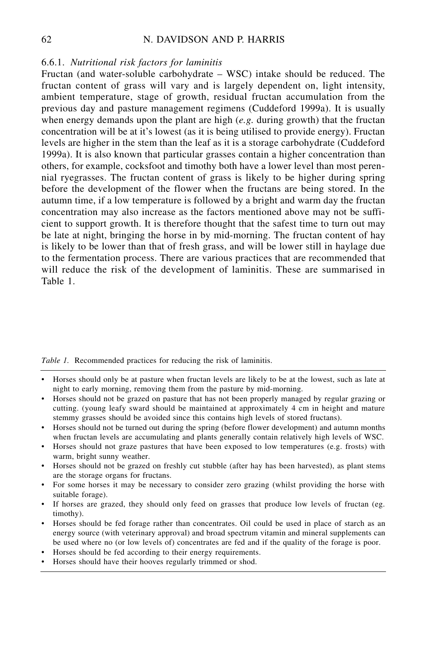#### 6.6.1. *Nutritional risk factors for laminitis*

Fructan (and water-soluble carbohydrate – WSC) intake should be reduced. The fructan content of grass will vary and is largely dependent on, light intensity, ambient temperature, stage of growth, residual fructan accumulation from the previous day and pasture management regimens (Cuddeford 1999a). It is usually when energy demands upon the plant are high (*e.g.* during growth) that the fructan concentration will be at it's lowest (as it is being utilised to provide energy). Fructan levels are higher in the stem than the leaf as it is a storage carbohydrate (Cuddeford 1999a). It is also known that particular grasses contain a higher concentration than others, for example, cocksfoot and timothy both have a lower level than most perennial ryegrasses. The fructan content of grass is likely to be higher during spring before the development of the flower when the fructans are being stored. In the autumn time, if a low temperature is followed by a bright and warm day the fructan concentration may also increase as the factors mentioned above may not be sufficient to support growth. It is therefore thought that the safest time to turn out may be late at night, bringing the horse in by mid-morning. The fructan content of hay is likely to be lower than that of fresh grass, and will be lower still in haylage due to the fermentation process. There are various practices that are recommended that will reduce the risk of the development of laminitis. These are summarised in Table 1.

*Table 1.* Recommended practices for reducing the risk of laminitis.

- Horses should only be at pasture when fructan levels are likely to be at the lowest, such as late at night to early morning, removing them from the pasture by mid-morning.
- Horses should not be grazed on pasture that has not been properly managed by regular grazing or cutting. (young leafy sward should be maintained at approximately 4 cm in height and mature stemmy grasses should be avoided since this contains high levels of stored fructans).
- Horses should not be turned out during the spring (before flower development) and autumn months when fructan levels are accumulating and plants generally contain relatively high levels of WSC.
- Horses should not graze pastures that have been exposed to low temperatures (e.g. frosts) with warm, bright sunny weather.
- Horses should not be grazed on freshly cut stubble (after hay has been harvested), as plant stems are the storage organs for fructans.
- For some horses it may be necessary to consider zero grazing (whilst providing the horse with suitable forage).
- If horses are grazed, they should only feed on grasses that produce low levels of fructan (eg. timothy).
- Horses should be fed forage rather than concentrates. Oil could be used in place of starch as an energy source (with veterinary approval) and broad spectrum vitamin and mineral supplements can be used where no (or low levels of) concentrates are fed and if the quality of the forage is poor.
- Horses should be fed according to their energy requirements.
- Horses should have their hooves regularly trimmed or shod.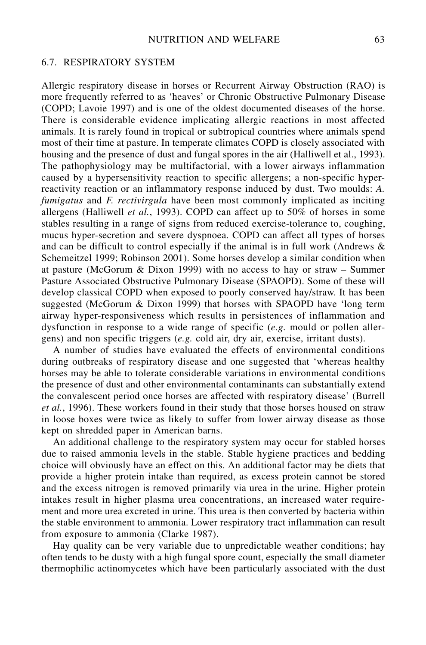## 6.7. RESPIRATORY SYSTEM

Allergic respiratory disease in horses or Recurrent Airway Obstruction (RAO) is more frequently referred to as 'heaves' or Chronic Obstructive Pulmonary Disease (COPD; Lavoie 1997) and is one of the oldest documented diseases of the horse. There is considerable evidence implicating allergic reactions in most affected animals. It is rarely found in tropical or subtropical countries where animals spend most of their time at pasture. In temperate climates COPD is closely associated with housing and the presence of dust and fungal spores in the air (Halliwell et al., 1993). The pathophysiology may be multifactorial, with a lower airways inflammation caused by a hypersensitivity reaction to specific allergens; a non-specific hyperreactivity reaction or an inflammatory response induced by dust. Two moulds: *A. fumigatus* and *F. rectivirgula* have been most commonly implicated as inciting allergens (Halliwell *et al.*, 1993). COPD can affect up to 50% of horses in some stables resulting in a range of signs from reduced exercise-tolerance to, coughing, mucus hyper-secretion and severe dyspnoea. COPD can affect all types of horses and can be difficult to control especially if the animal is in full work (Andrews  $\&$ Schemeitzel 1999; Robinson 2001). Some horses develop a similar condition when at pasture (McGorum & Dixon 1999) with no access to hay or straw – Summer Pasture Associated Obstructive Pulmonary Disease (SPAOPD). Some of these will develop classical COPD when exposed to poorly conserved hay/straw. It has been suggested (McGorum & Dixon 1999) that horses with SPAOPD have 'long term airway hyper-responsiveness which results in persistences of inflammation and dysfunction in response to a wide range of specific (*e.g.* mould or pollen allergens) and non specific triggers (*e.g.* cold air, dry air, exercise, irritant dusts).

A number of studies have evaluated the effects of environmental conditions during outbreaks of respiratory disease and one suggested that 'whereas healthy horses may be able to tolerate considerable variations in environmental conditions the presence of dust and other environmental contaminants can substantially extend the convalescent period once horses are affected with respiratory disease' (Burrell *et al.*, 1996). These workers found in their study that those horses housed on straw in loose boxes were twice as likely to suffer from lower airway disease as those kept on shredded paper in American barns.

An additional challenge to the respiratory system may occur for stabled horses due to raised ammonia levels in the stable. Stable hygiene practices and bedding choice will obviously have an effect on this. An additional factor may be diets that provide a higher protein intake than required, as excess protein cannot be stored and the excess nitrogen is removed primarily via urea in the urine. Higher protein intakes result in higher plasma urea concentrations, an increased water requirement and more urea excreted in urine. This urea is then converted by bacteria within the stable environment to ammonia. Lower respiratory tract inflammation can result from exposure to ammonia (Clarke 1987).

Hay quality can be very variable due to unpredictable weather conditions; hay often tends to be dusty with a high fungal spore count, especially the small diameter thermophilic actinomycetes which have been particularly associated with the dust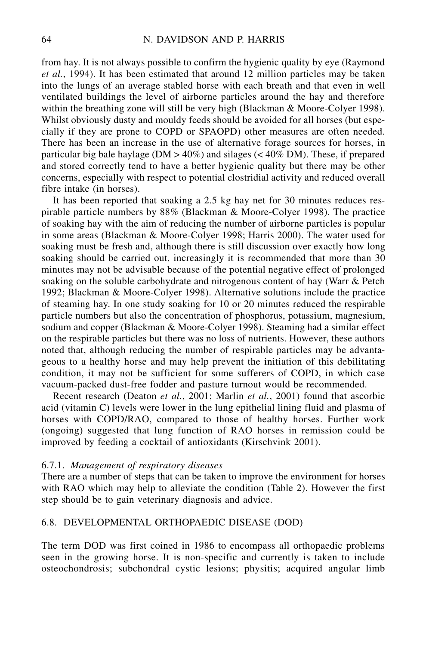from hay. It is not always possible to confirm the hygienic quality by eye (Raymond *et al.*, 1994). It has been estimated that around 12 million particles may be taken into the lungs of an average stabled horse with each breath and that even in well ventilated buildings the level of airborne particles around the hay and therefore within the breathing zone will still be very high (Blackman & Moore-Colyer 1998). Whilst obviously dusty and mouldy feeds should be avoided for all horses (but especially if they are prone to COPD or SPAOPD) other measures are often needed. There has been an increase in the use of alternative forage sources for horses, in particular big bale haylage ( $DM > 40\%$ ) and silages ( $< 40\%$  DM). These, if prepared and stored correctly tend to have a better hygienic quality but there may be other concerns, especially with respect to potential clostridial activity and reduced overall fibre intake (in horses).

It has been reported that soaking a 2.5 kg hay net for 30 minutes reduces respirable particle numbers by 88% (Blackman & Moore-Colyer 1998). The practice of soaking hay with the aim of reducing the number of airborne particles is popular in some areas (Blackman & Moore-Colyer 1998; Harris 2000). The water used for soaking must be fresh and, although there is still discussion over exactly how long soaking should be carried out, increasingly it is recommended that more than 30 minutes may not be advisable because of the potential negative effect of prolonged soaking on the soluble carbohydrate and nitrogenous content of hay (Warr & Petch 1992; Blackman & Moore-Colyer 1998). Alternative solutions include the practice of steaming hay. In one study soaking for 10 or 20 minutes reduced the respirable particle numbers but also the concentration of phosphorus, potassium, magnesium, sodium and copper (Blackman & Moore-Colyer 1998). Steaming had a similar effect on the respirable particles but there was no loss of nutrients. However, these authors noted that, although reducing the number of respirable particles may be advantageous to a healthy horse and may help prevent the initiation of this debilitating condition, it may not be sufficient for some sufferers of COPD, in which case vacuum-packed dust-free fodder and pasture turnout would be recommended.

Recent research (Deaton *et al.*, 2001; Marlin *et al.*, 2001) found that ascorbic acid (vitamin C) levels were lower in the lung epithelial lining fluid and plasma of horses with COPD/RAO, compared to those of healthy horses. Further work (ongoing) suggested that lung function of RAO horses in remission could be improved by feeding a cocktail of antioxidants (Kirschvink 2001).

#### 6.7.1. *Management of respiratory diseases*

There are a number of steps that can be taken to improve the environment for horses with RAO which may help to alleviate the condition (Table 2). However the first step should be to gain veterinary diagnosis and advice.

#### 6.8. DEVELOPMENTAL ORTHOPAEDIC DISEASE (DOD)

The term DOD was first coined in 1986 to encompass all orthopaedic problems seen in the growing horse. It is non-specific and currently is taken to include osteochondrosis; subchondral cystic lesions; physitis; acquired angular limb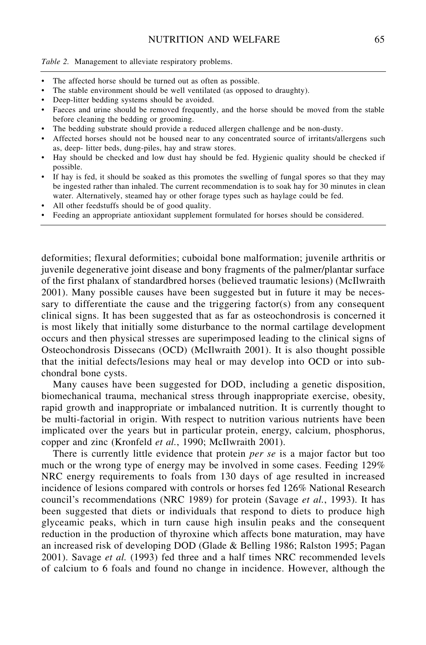*Table 2.* Management to alleviate respiratory problems.

- The affected horse should be turned out as often as possible.
- The stable environment should be well ventilated (as opposed to draughty).
- Deep-litter bedding systems should be avoided.
- Faeces and urine should be removed frequently, and the horse should be moved from the stable before cleaning the bedding or grooming.
- The bedding substrate should provide a reduced allergen challenge and be non-dusty.
- Affected horses should not be housed near to any concentrated source of irritants/allergens such as, deep- litter beds, dung-piles, hay and straw stores.
- Hay should be checked and low dust hay should be fed. Hygienic quality should be checked if possible.
- If hay is fed, it should be soaked as this promotes the swelling of fungal spores so that they may be ingested rather than inhaled. The current recommendation is to soak hay for 30 minutes in clean water. Alternatively, steamed hay or other forage types such as haylage could be fed.
- All other feedstuffs should be of good quality.
- Feeding an appropriate antioxidant supplement formulated for horses should be considered.

deformities; flexural deformities; cuboidal bone malformation; juvenile arthritis or juvenile degenerative joint disease and bony fragments of the palmer/plantar surface of the first phalanx of standardbred horses (believed traumatic lesions) (McIlwraith 2001). Many possible causes have been suggested but in future it may be necessary to differentiate the cause and the triggering factor(s) from any consequent clinical signs. It has been suggested that as far as osteochondrosis is concerned it is most likely that initially some disturbance to the normal cartilage development occurs and then physical stresses are superimposed leading to the clinical signs of Osteochondrosis Dissecans (OCD) (McIlwraith 2001). It is also thought possible that the initial defects/lesions may heal or may develop into OCD or into subchondral bone cysts.

Many causes have been suggested for DOD, including a genetic disposition, biomechanical trauma, mechanical stress through inappropriate exercise, obesity, rapid growth and inappropriate or imbalanced nutrition. It is currently thought to be multi-factorial in origin. With respect to nutrition various nutrients have been implicated over the years but in particular protein, energy, calcium, phosphorus, copper and zinc (Kronfeld *et al.*, 1990; McIlwraith 2001).

There is currently little evidence that protein *per se* is a major factor but too much or the wrong type of energy may be involved in some cases. Feeding 129% NRC energy requirements to foals from 130 days of age resulted in increased incidence of lesions compared with controls or horses fed 126% National Research council's recommendations (NRC 1989) for protein (Savage *et al.*, 1993). It has been suggested that diets or individuals that respond to diets to produce high glyceamic peaks, which in turn cause high insulin peaks and the consequent reduction in the production of thyroxine which affects bone maturation, may have an increased risk of developing DOD (Glade & Belling 1986; Ralston 1995; Pagan 2001). Savage *et al.* (1993) fed three and a half times NRC recommended levels of calcium to 6 foals and found no change in incidence. However, although the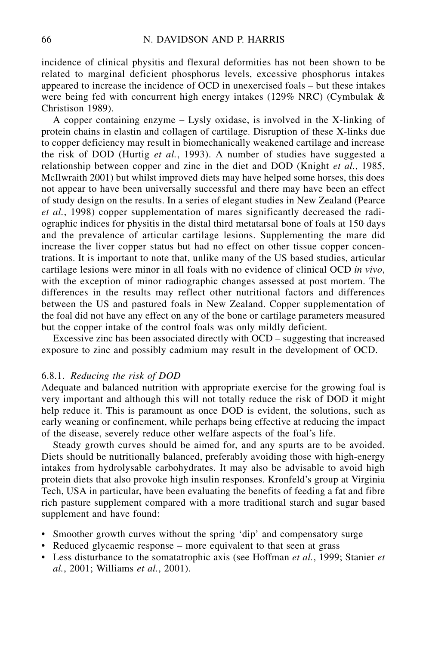incidence of clinical physitis and flexural deformities has not been shown to be related to marginal deficient phosphorus levels, excessive phosphorus intakes appeared to increase the incidence of OCD in unexercised foals – but these intakes were being fed with concurrent high energy intakes (129% NRC) (Cymbulak & Christison 1989).

A copper containing enzyme – Lysly oxidase, is involved in the X-linking of protein chains in elastin and collagen of cartilage. Disruption of these X-links due to copper deficiency may result in biomechanically weakened cartilage and increase the risk of DOD (Hurtig *et al.*, 1993). A number of studies have suggested a relationship between copper and zinc in the diet and DOD (Knight *et al.*, 1985, McIlwraith 2001) but whilst improved diets may have helped some horses, this does not appear to have been universally successful and there may have been an effect of study design on the results. In a series of elegant studies in New Zealand (Pearce *et al.*, 1998) copper supplementation of mares significantly decreased the radiographic indices for physitis in the distal third metatarsal bone of foals at 150 days and the prevalence of articular cartilage lesions. Supplementing the mare did increase the liver copper status but had no effect on other tissue copper concentrations. It is important to note that, unlike many of the US based studies, articular cartilage lesions were minor in all foals with no evidence of clinical OCD *in vivo*, with the exception of minor radiographic changes assessed at post mortem. The differences in the results may reflect other nutritional factors and differences between the US and pastured foals in New Zealand. Copper supplementation of the foal did not have any effect on any of the bone or cartilage parameters measured but the copper intake of the control foals was only mildly deficient.

Excessive zinc has been associated directly with OCD – suggesting that increased exposure to zinc and possibly cadmium may result in the development of OCD.

## 6.8.1. *Reducing the risk of DOD*

Adequate and balanced nutrition with appropriate exercise for the growing foal is very important and although this will not totally reduce the risk of DOD it might help reduce it. This is paramount as once DOD is evident, the solutions, such as early weaning or confinement, while perhaps being effective at reducing the impact of the disease, severely reduce other welfare aspects of the foal's life.

Steady growth curves should be aimed for, and any spurts are to be avoided. Diets should be nutritionally balanced, preferably avoiding those with high-energy intakes from hydrolysable carbohydrates. It may also be advisable to avoid high protein diets that also provoke high insulin responses. Kronfeld's group at Virginia Tech, USA in particular, have been evaluating the benefits of feeding a fat and fibre rich pasture supplement compared with a more traditional starch and sugar based supplement and have found:

- Smoother growth curves without the spring 'dip' and compensatory surge
- Reduced glycaemic response more equivalent to that seen at grass
- Less disturbance to the somatatrophic axis (see Hoffman *et al.*, 1999; Stanier *et al.*, 2001; Williams *et al.*, 2001).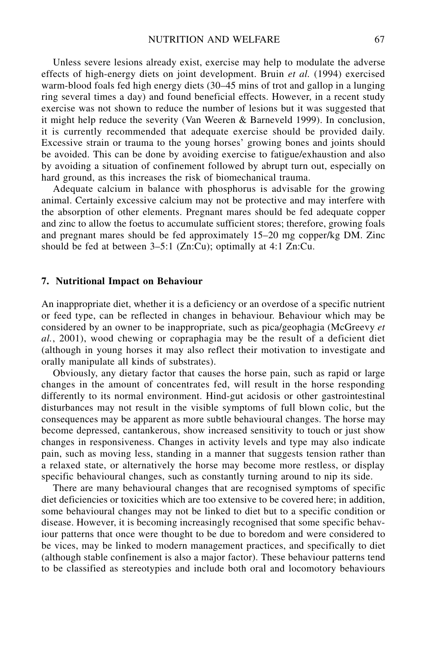Unless severe lesions already exist, exercise may help to modulate the adverse effects of high-energy diets on joint development. Bruin *et al.* (1994) exercised warm-blood foals fed high energy diets (30–45 mins of trot and gallop in a lunging ring several times a day) and found beneficial effects. However, in a recent study exercise was not shown to reduce the number of lesions but it was suggested that it might help reduce the severity (Van Weeren & Barneveld 1999). In conclusion, it is currently recommended that adequate exercise should be provided daily. Excessive strain or trauma to the young horses' growing bones and joints should be avoided. This can be done by avoiding exercise to fatigue/exhaustion and also by avoiding a situation of confinement followed by abrupt turn out, especially on hard ground, as this increases the risk of biomechanical trauma.

Adequate calcium in balance with phosphorus is advisable for the growing animal. Certainly excessive calcium may not be protective and may interfere with the absorption of other elements. Pregnant mares should be fed adequate copper and zinc to allow the foetus to accumulate sufficient stores; therefore, growing foals and pregnant mares should be fed approximately 15–20 mg copper/kg DM. Zinc should be fed at between 3–5:1 (Zn:Cu); optimally at 4:1 Zn:Cu.

#### **7. Nutritional Impact on Behaviour**

An inappropriate diet, whether it is a deficiency or an overdose of a specific nutrient or feed type, can be reflected in changes in behaviour. Behaviour which may be considered by an owner to be inappropriate, such as pica/geophagia (McGreevy *et al.*, 2001), wood chewing or copraphagia may be the result of a deficient diet (although in young horses it may also reflect their motivation to investigate and orally manipulate all kinds of substrates).

Obviously, any dietary factor that causes the horse pain, such as rapid or large changes in the amount of concentrates fed, will result in the horse responding differently to its normal environment. Hind-gut acidosis or other gastrointestinal disturbances may not result in the visible symptoms of full blown colic, but the consequences may be apparent as more subtle behavioural changes. The horse may become depressed, cantankerous, show increased sensitivity to touch or just show changes in responsiveness. Changes in activity levels and type may also indicate pain, such as moving less, standing in a manner that suggests tension rather than a relaxed state, or alternatively the horse may become more restless, or display specific behavioural changes, such as constantly turning around to nip its side.

There are many behavioural changes that are recognised symptoms of specific diet deficiencies or toxicities which are too extensive to be covered here; in addition, some behavioural changes may not be linked to diet but to a specific condition or disease. However, it is becoming increasingly recognised that some specific behaviour patterns that once were thought to be due to boredom and were considered to be vices, may be linked to modern management practices, and specifically to diet (although stable confinement is also a major factor). These behaviour patterns tend to be classified as stereotypies and include both oral and locomotory behaviours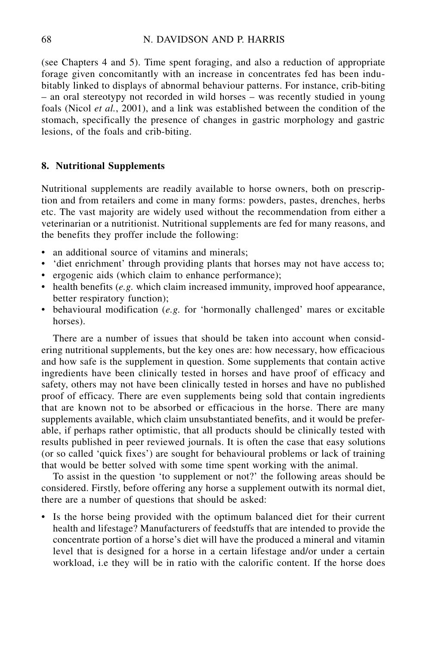(see Chapters 4 and 5). Time spent foraging, and also a reduction of appropriate forage given concomitantly with an increase in concentrates fed has been indubitably linked to displays of abnormal behaviour patterns. For instance, crib-biting – an oral stereotypy not recorded in wild horses – was recently studied in young foals (Nicol *et al.*, 2001), and a link was established between the condition of the stomach, specifically the presence of changes in gastric morphology and gastric lesions, of the foals and crib-biting.

#### **8. Nutritional Supplements**

Nutritional supplements are readily available to horse owners, both on prescription and from retailers and come in many forms: powders, pastes, drenches, herbs etc. The vast majority are widely used without the recommendation from either a veterinarian or a nutritionist. Nutritional supplements are fed for many reasons, and the benefits they proffer include the following:

- an additional source of vitamins and minerals;
- 'diet enrichment' through providing plants that horses may not have access to;
- ergogenic aids (which claim to enhance performance);
- health benefits (*e.g.* which claim increased immunity, improved hoof appearance, better respiratory function);
- behavioural modification (*e.g.* for 'hormonally challenged' mares or excitable horses).

There are a number of issues that should be taken into account when considering nutritional supplements, but the key ones are: how necessary, how efficacious and how safe is the supplement in question. Some supplements that contain active ingredients have been clinically tested in horses and have proof of efficacy and safety, others may not have been clinically tested in horses and have no published proof of efficacy. There are even supplements being sold that contain ingredients that are known not to be absorbed or efficacious in the horse. There are many supplements available, which claim unsubstantiated benefits, and it would be preferable, if perhaps rather optimistic, that all products should be clinically tested with results published in peer reviewed journals. It is often the case that easy solutions (or so called 'quick fixes') are sought for behavioural problems or lack of training that would be better solved with some time spent working with the animal.

To assist in the question 'to supplement or not?' the following areas should be considered. Firstly, before offering any horse a supplement outwith its normal diet, there are a number of questions that should be asked:

• Is the horse being provided with the optimum balanced diet for their current health and lifestage? Manufacturers of feedstuffs that are intended to provide the concentrate portion of a horse's diet will have the produced a mineral and vitamin level that is designed for a horse in a certain lifestage and/or under a certain workload, i.e they will be in ratio with the calorific content. If the horse does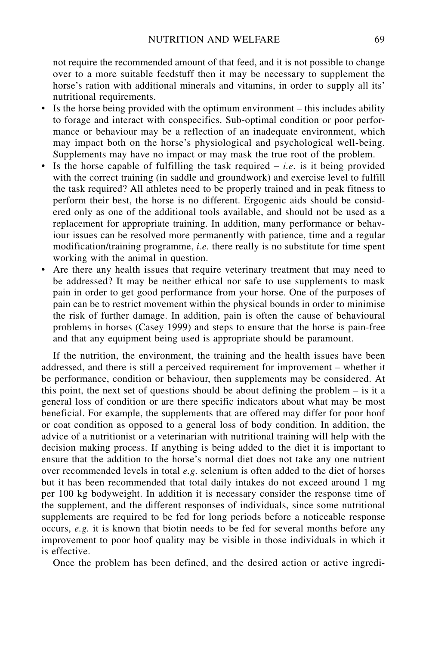not require the recommended amount of that feed, and it is not possible to change over to a more suitable feedstuff then it may be necessary to supplement the horse's ration with additional minerals and vitamins, in order to supply all its' nutritional requirements.

- Is the horse being provided with the optimum environment this includes ability to forage and interact with conspecifics. Sub-optimal condition or poor performance or behaviour may be a reflection of an inadequate environment, which may impact both on the horse's physiological and psychological well-being. Supplements may have no impact or may mask the true root of the problem.
- Is the horse capable of fulfilling the task required  $-i.e.$  is it being provided with the correct training (in saddle and groundwork) and exercise level to fulfill the task required? All athletes need to be properly trained and in peak fitness to perform their best, the horse is no different. Ergogenic aids should be considered only as one of the additional tools available, and should not be used as a replacement for appropriate training. In addition, many performance or behaviour issues can be resolved more permanently with patience, time and a regular modification/training programme, *i.e.* there really is no substitute for time spent working with the animal in question.
- Are there any health issues that require veterinary treatment that may need to be addressed? It may be neither ethical nor safe to use supplements to mask pain in order to get good performance from your horse. One of the purposes of pain can be to restrict movement within the physical bounds in order to minimise the risk of further damage. In addition, pain is often the cause of behavioural problems in horses (Casey 1999) and steps to ensure that the horse is pain-free and that any equipment being used is appropriate should be paramount.

If the nutrition, the environment, the training and the health issues have been addressed, and there is still a perceived requirement for improvement – whether it be performance, condition or behaviour, then supplements may be considered. At this point, the next set of questions should be about defining the problem – is it a general loss of condition or are there specific indicators about what may be most beneficial. For example, the supplements that are offered may differ for poor hoof or coat condition as opposed to a general loss of body condition. In addition, the advice of a nutritionist or a veterinarian with nutritional training will help with the decision making process. If anything is being added to the diet it is important to ensure that the addition to the horse's normal diet does not take any one nutrient over recommended levels in total *e.g.* selenium is often added to the diet of horses but it has been recommended that total daily intakes do not exceed around 1 mg per 100 kg bodyweight. In addition it is necessary consider the response time of the supplement, and the different responses of individuals, since some nutritional supplements are required to be fed for long periods before a noticeable response occurs, *e.g.* it is known that biotin needs to be fed for several months before any improvement to poor hoof quality may be visible in those individuals in which it is effective.

Once the problem has been defined, and the desired action or active ingredi-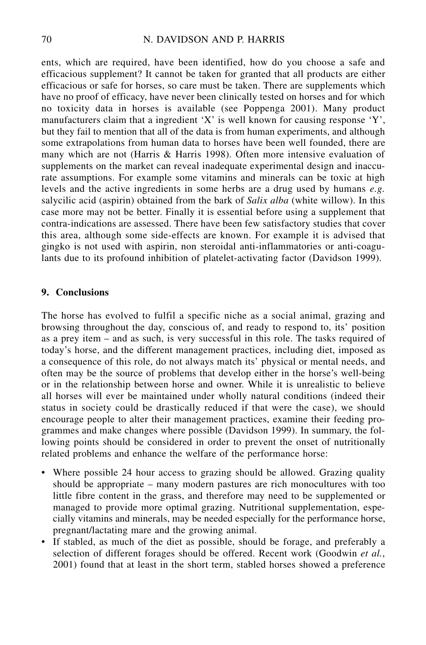ents, which are required, have been identified, how do you choose a safe and efficacious supplement? It cannot be taken for granted that all products are either efficacious or safe for horses, so care must be taken. There are supplements which have no proof of efficacy, have never been clinically tested on horses and for which no toxicity data in horses is available (see Poppenga 2001). Many product manufacturers claim that a ingredient 'X' is well known for causing response 'Y', but they fail to mention that all of the data is from human experiments, and although some extrapolations from human data to horses have been well founded, there are many which are not (Harris & Harris 1998). Often more intensive evaluation of supplements on the market can reveal inadequate experimental design and inaccurate assumptions. For example some vitamins and minerals can be toxic at high levels and the active ingredients in some herbs are a drug used by humans *e.g.* salycilic acid (aspirin) obtained from the bark of *Salix alba* (white willow). In this case more may not be better. Finally it is essential before using a supplement that contra-indications are assessed. There have been few satisfactory studies that cover this area, although some side-effects are known. For example it is advised that gingko is not used with aspirin, non steroidal anti-inflammatories or anti-coagulants due to its profound inhibition of platelet-activating factor (Davidson 1999).

## **9. Conclusions**

The horse has evolved to fulfil a specific niche as a social animal, grazing and browsing throughout the day, conscious of, and ready to respond to, its' position as a prey item – and as such, is very successful in this role. The tasks required of today's horse, and the different management practices, including diet, imposed as a consequence of this role, do not always match its' physical or mental needs, and often may be the source of problems that develop either in the horse's well-being or in the relationship between horse and owner. While it is unrealistic to believe all horses will ever be maintained under wholly natural conditions (indeed their status in society could be drastically reduced if that were the case), we should encourage people to alter their management practices, examine their feeding programmes and make changes where possible (Davidson 1999). In summary, the following points should be considered in order to prevent the onset of nutritionally related problems and enhance the welfare of the performance horse:

- Where possible 24 hour access to grazing should be allowed. Grazing quality should be appropriate – many modern pastures are rich monocultures with too little fibre content in the grass, and therefore may need to be supplemented or managed to provide more optimal grazing. Nutritional supplementation, especially vitamins and minerals, may be needed especially for the performance horse, pregnant/lactating mare and the growing animal.
- If stabled, as much of the diet as possible, should be forage, and preferably a selection of different forages should be offered. Recent work (Goodwin *et al.*, 2001) found that at least in the short term, stabled horses showed a preference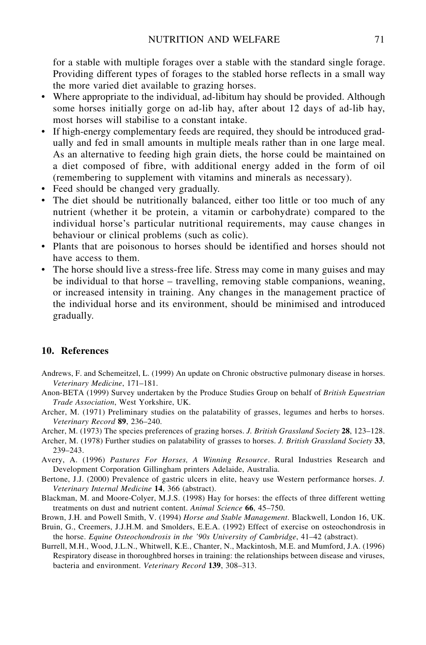for a stable with multiple forages over a stable with the standard single forage. Providing different types of forages to the stabled horse reflects in a small way the more varied diet available to grazing horses.

- Where appropriate to the individual, ad-libitum hay should be provided. Although some horses initially gorge on ad-lib hay, after about 12 days of ad-lib hay, most horses will stabilise to a constant intake.
- If high-energy complementary feeds are required, they should be introduced gradually and fed in small amounts in multiple meals rather than in one large meal. As an alternative to feeding high grain diets, the horse could be maintained on a diet composed of fibre, with additional energy added in the form of oil (remembering to supplement with vitamins and minerals as necessary).
- Feed should be changed very gradually.
- The diet should be nutritionally balanced, either too little or too much of any nutrient (whether it be protein, a vitamin or carbohydrate) compared to the individual horse's particular nutritional requirements, may cause changes in behaviour or clinical problems (such as colic).
- Plants that are poisonous to horses should be identified and horses should not have access to them.
- The horse should live a stress-free life. Stress may come in many guises and may be individual to that horse – travelling, removing stable companions, weaning, or increased intensity in training. Any changes in the management practice of the individual horse and its environment, should be minimised and introduced gradually.

## **10. References**

- Andrews, F. and Schemeitzel, L. (1999) An update on Chronic obstructive pulmonary disease in horses. *Veterinary Medicine*, 171–181.
- Anon-BETA (1999) Survey undertaken by the Produce Studies Group on behalf of *British Equestrian Trade Association*, West Yorkshire, UK.
- Archer, M. (1971) Preliminary studies on the palatability of grasses, legumes and herbs to horses. *Veterinary Record* **89**, 236–240.
- Archer, M. (1973) The species preferences of grazing horses. *J. British Grassland Society* **28**, 123–128.
- Archer, M. (1978) Further studies on palatability of grasses to horses. *J. British Grassland Society* **33**, 239–243.
- Avery, A. (1996) *Pastures For Horses, A Winning Resource*. Rural Industries Research and Development Corporation Gillingham printers Adelaide, Australia.
- Bertone, J.J. (2000) Prevalence of gastric ulcers in elite, heavy use Western performance horses. *J. Veterinary Internal Medicine* **14**, 366 (abstract).
- Blackman, M. and Moore-Colyer, M.J.S. (1998) Hay for horses: the effects of three different wetting treatments on dust and nutrient content. *Animal Science* **66**, 45–750.
- Brown, J.H. and Powell Smith, V. (1994) *Horse and Stable Management*. Blackwell, London 16, UK.
- Bruin, G., Creemers, J.J.H.M. and Smolders, E.E.A. (1992) Effect of exercise on osteochondrosis in the horse. *Equine Osteochondrosis in the '90s University of Cambridge*, 41–42 (abstract).
- Burrell, M.H., Wood, J.L.N., Whitwell, K.E., Chanter, N., Mackintosh, M.E. and Mumford, J.A. (1996) Respiratory disease in thoroughbred horses in training: the relationships between disease and viruses, bacteria and environment. *Veterinary Record* **139**, 308–313.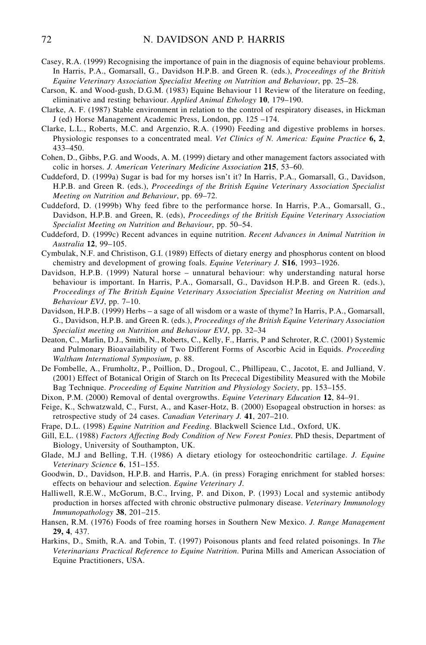- Casey, R.A. (1999) Recognising the importance of pain in the diagnosis of equine behaviour problems. In Harris, P.A., Gomarsall, G., Davidson H.P.B. and Green R. (eds.), *Proceedings of the British Equine Veterinary Association Specialist Meeting on Nutrition and Behaviour*, pp. 25–28.
- Carson, K. and Wood-gush, D.G.M. (1983) Equine Behaviour 11 Review of the literature on feeding, eliminative and resting behaviour. *Applied Animal Ethology* **10**, 179–190.
- Clarke, A. F. (1987) Stable environment in relation to the control of respiratory diseases, in Hickman J (ed) Horse Management Academic Press, London, pp. 125 –174.
- Clarke, L.L., Roberts, M.C. and Argenzio, R.A. (1990) Feeding and digestive problems in horses. Physiologic responses to a concentrated meal. *Vet Clinics of N. America: Equine Practice* **6, 2**, 433–450.
- Cohen, D., Gibbs, P.G. and Woods, A. M. (1999) dietary and other management factors associated with colic in horses. *J. American Veterinary Medicine Association* **215**, 53–60.
- Cuddeford, D. (1999a) Sugar is bad for my horses isn't it? In Harris, P.A., Gomarsall, G., Davidson, H.P.B. and Green R. (eds.), *Proceedings of the British Equine Veterinary Association Specialist Meeting on Nutrition and Behaviour*, pp. 69–72.
- Cuddeford, D. (1999b) Why feed fibre to the performance horse. In Harris, P.A., Gomarsall, G., Davidson, H.P.B. and Green, R. (eds), *Proceedings of the British Equine Veterinary Association Specialist Meeting on Nutrition and Behaviour*, pp. 50–54.
- Cuddeford, D. (1999c) Recent advances in equine nutrition. *Recent Advances in Animal Nutrition in Australia* **12**, 99–105.
- Cymbulak, N.F. and Christison, G.I. (1989) Effects of dietary energy and phosphorus content on blood chemistry and development of growing foals. *Equine Veterinary J.* **S16**, 1993–1926.
- Davidson, H.P.B. (1999) Natural horse unnatural behaviour: why understanding natural horse behaviour is important. In Harris, P.A., Gomarsall, G., Davidson H.P.B. and Green R. (eds.), *Proceedings of The British Equine Veterinary Association Specialist Meeting on Nutrition and Behaviour EVJ*, pp. 7–10.
- Davidson, H.P.B. (1999) Herbs a sage of all wisdom or a waste of thyme? In Harris, P.A., Gomarsall, G., Davidson, H.P.B. and Green R. (eds.), *Proceedings of the British Equine Veterinary Association Specialist meeting on Nutrition and Behaviour EVJ*, pp. 32–34
- Deaton, C., Marlin, D.J., Smith, N., Roberts, C., Kelly, F., Harris, P and Schroter, R.C. (2001) Systemic and Pulmonary Bioavailability of Two Different Forms of Ascorbic Acid in Equids. *Proceeding Waltham International Symposium*, p. 88.
- De Fombelle, A., Frumholtz, P., Poillion, D., Drogoul, C., Phillipeau, C., Jacotot, E. and Julliand, V. (2001) Effect of Botanical Origin of Starch on Its Prececal Digestibility Measured with the Mobile Bag Technique. *Proceeding of Equine Nutrition and Physiology Society*, pp. 153–155.
- Dixon, P.M. (2000) Removal of dental overgrowths. *Equine Veterinary Education* **12**, 84–91.
- Feige, K., Schwatzwald, C., Furst, A., and Kaser-Hotz, B. (2000) Esopageal obstruction in horses: as retrospective study of 24 cases. *Canadian Veterinary J.* **41**, 207–210.
- Frape, D.L. (1998) *Equine Nutrition and Feeding*. Blackwell Science Ltd., Oxford, UK.
- Gill, E.L. (1988) *Factors Affecting Body Condition of New Forest Ponies*. PhD thesis, Department of Biology, University of Southampton, UK.
- Glade, M.J and Belling, T.H. (1986) A dietary etiology for osteochondritic cartilage. *J. Equine Veterinary Science* **6**, 151–155.
- Goodwin, D., Davidson, H.P.B. and Harris, P.A. (in press) Foraging enrichment for stabled horses: effects on behaviour and selection. *Equine Veterinary J*.
- Halliwell, R.E.W., McGorum, B.C., Irving, P. and Dixon, P. (1993) Local and systemic antibody production in horses affected with chronic obstructive pulmonary disease. *Veterinary Immunology Immunopathology* **38**, 201–215.
- Hansen, R.M. (1976) Foods of free roaming horses in Southern New Mexico. *J. Range Management* **29, 4**, 437.
- Harkins, D., Smith, R.A. and Tobin, T. (1997) Poisonous plants and feed related poisonings. In *The Veterinarians Practical Reference to Equine Nutrition*. Purina Mills and American Association of Equine Practitioners, USA.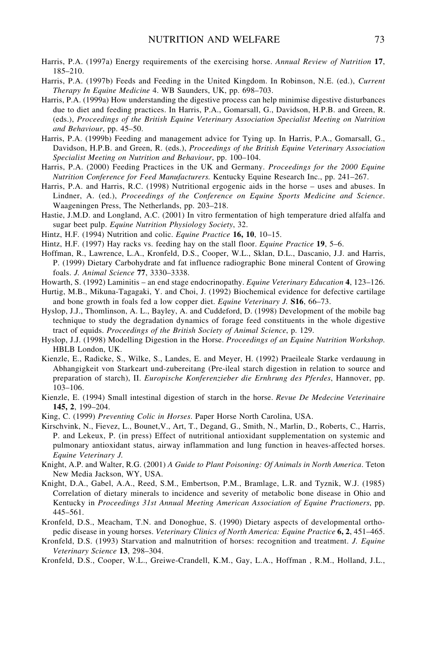- Harris, P.A. (1997a) Energy requirements of the exercising horse. *Annual Review of Nutrition* **17**, 185–210.
- Harris, P.A. (1997b) Feeds and Feeding in the United Kingdom. In Robinson, N.E. (ed.), *Current Therapy In Equine Medicine* 4. WB Saunders, UK, pp. 698–703.
- Harris, P.A. (1999a) How understanding the digestive process can help minimise digestive disturbances due to diet and feeding practices. In Harris, P.A., Gomarsall, G., Davidson, H.P.B. and Green, R. (eds.), *Proceedings of the British Equine Veterinary Association Specialist Meeting on Nutrition and Behaviour*, pp. 45–50.
- Harris, P.A. (1999b) Feeding and management advice for Tying up. In Harris, P.A., Gomarsall, G., Davidson, H.P.B. and Green, R. (eds.), *Proceedings of the British Equine Veterinary Association Specialist Meeting on Nutrition and Behaviour*, pp. 100–104.
- Harris, P.A. (2000) Feeding Practices in the UK and Germany. *Proceedings for the 2000 Equine Nutrition Conference for Feed Manufacturers.* Kentucky Equine Research Inc., pp. 241–267.
- Harris, P.A. and Harris, R.C. (1998) Nutritional ergogenic aids in the horse uses and abuses. In Lindner, A. (ed.), *Proceedings of the Conference on Equine Sports Medicine and Science*. Waageningen Press, The Netherlands, pp. 203–218.
- Hastie, J.M.D. and Longland, A.C. (2001) In vitro fermentation of high temperature dried alfalfa and sugar beet pulp. *Equine Nutrition Physiology Society*, 32.
- Hintz, H.F. (1994) Nutrition and colic. *Equine Practice* **16, 10**, 10–15.
- Hintz, H.F. (1997) Hay racks vs. feeding hay on the stall floor. *Equine Practice* **19**, 5–6.
- Hoffman, R., Lawrence, L.A., Kronfeld, D.S., Cooper, W.L., Sklan, D.L., Dascanio, J.J. and Harris, P. (1999) Dietary Carbohydrate and fat influence radiographic Bone mineral Content of Growing foals. *J. Animal Science* **77**, 3330–3338.
- Howarth, S. (1992) Laminitis an end stage endocrinopathy. *Equine Veterinary Education* **4**, 123–126.
- Hurtig, M.B., Mikuna-Tagagaki, Y. and Choi, J. (1992) Biochemical evidence for defective cartilage and bone growth in foals fed a low copper diet. *Equine Veterinary J.* **S16**, 66–73.
- Hyslop, J.J., Thomlinson, A. L., Bayley, A. and Cuddeford, D. (1998) Development of the mobile bag technique to study the degradation dynamics of forage feed constituents in the whole digestive tract of equids. *Proceedings of the British Society of Animal Science*, p. 129.
- Hyslop, J.J. (1998) Modelling Digestion in the Horse. *Proceedings of an Equine Nutrition Workshop*. HBLB London, UK.
- Kienzle, E., Radicke, S., Wilke, S., Landes, E. and Meyer, H. (1992) Praeileale Starke verdauung in Abhangigkeit von Starkeart und-zubereitang (Pre-ileal starch digestion in relation to source and preparation of starch), II. *Europische Konferenzieber die Ernhrung des Pferdes*, Hannover, pp. 103–106.
- Kienzle, E. (1994) Small intestinal digestion of starch in the horse. *Revue De Medecine Veterinaire* **145, 2**, 199–204.
- King, C. (1999) *Preventing Colic in Horses*. Paper Horse North Carolina, USA.
- Kirschvink, N., Fievez, L., Bounet,V., Art, T., Degand, G., Smith, N., Marlin, D., Roberts, C., Harris, P. and Lekeux, P. (in press) Effect of nutritional antioxidant supplementation on systemic and pulmonary antioxidant status, airway inflammation and lung function in heaves-affected horses. *Equine Veterinary J.*
- Knight, A.P. and Walter, R.G. (2001) *A Guide to Plant Poisoning: Of Animals in North America*. Teton New Media Jackson, WY, USA.
- Knight, D.A., Gabel, A.A., Reed, S.M., Embertson, P.M., Bramlage, L.R. and Tyznik, W.J. (1985) Correlation of dietary minerals to incidence and severity of metabolic bone disease in Ohio and Kentucky in *Proceedings 31st Annual Meeting American Association of Equine Practioners*, pp. 445–561.
- Kronfeld, D.S., Meacham, T.N. and Donoghue, S. (1990) Dietary aspects of developmental orthopedic disease in young horses. *Veterinary Clinics of North America: Equine Practice* **6, 2**, 451–465.
- Kronfeld, D.S. (1993) Starvation and malnutrition of horses: recognition and treatment. *J. Equine Veterinary Science* **13**, 298–304.
- Kronfeld, D.S., Cooper, W.L., Greiwe-Crandell, K.M., Gay, L.A., Hoffman , R.M., Holland, J.L.,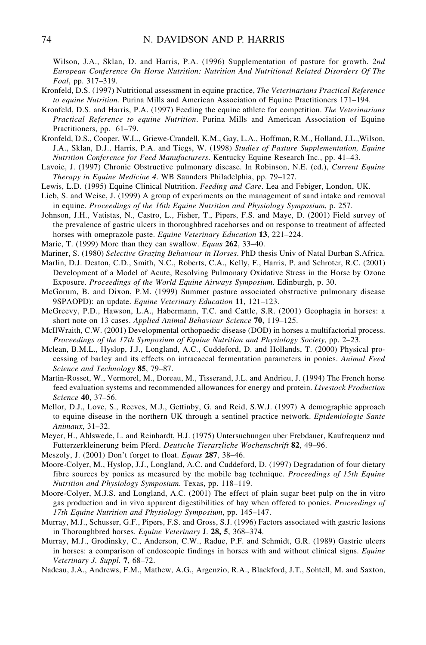Wilson, J.A., Sklan, D. and Harris, P.A. (1996) Supplementation of pasture for growth. *2nd European Conference On Horse Nutrition: Nutrition And Nutritional Related Disorders Of The Foal*, pp. 317–319.

- Kronfeld, D.S. (1997) Nutritional assessment in equine practice, *The Veterinarians Practical Reference to equine Nutrition.* Purina Mills and American Association of Equine Practitioners 171–194.
- Kronfeld, D.S. and Harris, P.A. (1997) Feeding the equine athlete for competition. *The Veterinarians Practical Reference to equine Nutrition*. Purina Mills and American Association of Equine Practitioners, pp. 61–79.
- Kronfeld, D.S., Cooper, W.L., Griewe-Crandell, K.M., Gay, L.A., Hoffman, R.M., Holland, J.L.,Wilson, J.A., Sklan, D.J., Harris, P.A. and Tiegs, W. (1998) *Studies of Pasture Supplementation, Equine Nutrition Conference for Feed Manufacturers*. Kentucky Equine Research Inc., pp. 41–43.
- Lavoie, J. (1997) Chronic Obstructive pulmonary disease. In Robinson, N.E. (ed.), *Current Equine Therapy in Equine Medicine 4*. WB Saunders Philadelphia, pp. 79–127.
- Lewis, L.D. (1995) Equine Clinical Nutrition. *Feeding and Care*. Lea and Febiger, London, UK.
- Lieb, S. and Weise, J. (1999) A group of experiments on the management of sand intake and removal in equine. *Proceedings of the 16th Equine Nutrition and Physiology Symposium*, p. 257.
- Johnson, J.H., Vatistas, N., Castro, L., Fisher, T., Pipers, F.S. and Maye, D. (2001) Field survey of the prevalence of gastric ulcers in thoroughbred racehorses and on response to treatment of affected horses with omeprazole paste. *Equine Veterinary Education* **13**, 221–224.
- Marie, T. (1999) More than they can swallow. *Equus* **262**, 33–40.
- Mariner, S. (1980) *Selective Grazing Behaviour in Horses*. PhD thesis Univ of Natal Durban S.Africa.
- Marlin, D.J. Deaton, C.D., Smith, N.C., Roberts, C.A., Kelly, F., Harris, P. and Schroter, R.C. (2001) Development of a Model of Acute, Resolving Pulmonary Oxidative Stress in the Horse by Ozone Exposure. *Proceedings of the World Equine Airways Symposium.* Edinburgh, p. 30.
- McGorum, B. and Dixon, P.M. (1999) Summer pasture associated obstructive pulmonary disease 9SPAOPD): an update. *Equine Veterinary Education* **11**, 121–123.
- McGreevy, P.D., Hawson, L.A., Habermann, T.C. and Cattle, S.R. (2001) Geophagia in horses: a short note on 13 cases. *Applied Animal Behaviour Science* **70**, 119–125.
- McIlWraith, C.W. (2001) Developmental orthopaedic disease (DOD) in horses a multifactorial process. *Proceedings of the 17th Symposium of Equine Nutrition and Physiology Society*, pp. 2–23.
- Mclean, B.M.L., Hyslop, J.J., Longland, A.C., Cuddeford, D. and Hollands, T. (2000) Physical processing of barley and its effects on intracaecal fermentation parameters in ponies. *Animal Feed Science and Technology* **85**, 79–87.
- Martin-Rosset, W., Vermorel, M., Doreau, M., Tisserand, J.L. and Andrieu, J. (1994) The French horse feed evaluation systems and recommended allowances for energy and protein. *Livestock Production Science* **40**, 37–56.
- Mellor, D.J., Love, S., Reeves, M.J., Gettinby, G. and Reid, S.W.J. (1997) A demographic approach to equine disease in the northern UK through a sentinel practice network. *Epidemiologie Sante Animaux*, 31–32.
- Meyer, H., Ahlswede, L. and Reinhardt, H.J. (1975) Untersuchungen uber Frebdauer, Kaufrequenz und Futterzerkleinerung beim Pferd. *Deutsche Tierarzliche Wochenschrift* **82**, 49–96.
- Meszoly, J. (2001) Don't forget to float. *Equus* **287**, 38–46.
- Moore-Colyer, M., Hyslop, J.J., Longland, A.C. and Cuddeford, D. (1997) Degradation of four dietary fibre sources by ponies as measured by the mobile bag technique. *Proceedings of 15th Equine Nutrition and Physiology Symposium*. Texas, pp. 118–119.
- Moore-Colyer, M.J.S. and Longland, A.C. (2001) The effect of plain sugar beet pulp on the in vitro gas production and in vivo apparent digestibilities of hay when offered to ponies. *Proceedings of 17th Equine Nutrition and Physiology Symposium*, pp. 145–147.
- Murray, M.J., Schusser, G.F., Pipers, F.S. and Gross, S.J. (1996) Factors associated with gastric lesions in Thoroughbred horses. *Equine Veterinary* J. **28, 5**, 368–374.
- Murray, M.J., Grodinsky, C., Anderson, C.W., Radue, P.F. and Schmidt, G.R. (1989) Gastric ulcers in horses: a comparison of endoscopic findings in horses with and without clinical signs. *Equine Veterinary J. Suppl.* **7**, 68–72.
- Nadeau, J.A., Andrews, F.M., Mathew, A.G., Argenzio, R.A., Blackford, J.T., Sohtell, M. and Saxton,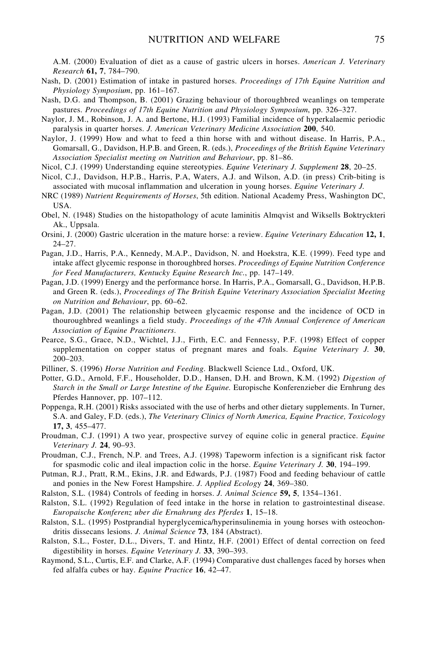A.M. (2000) Evaluation of diet as a cause of gastric ulcers in horses. *American J. Veterinary Research* **61, 7**, 784–790.

- Nash, D. (2001) Estimation of intake in pastured horses. *Proceedings of 17th Equine Nutrition and Physiology Symposium*, pp. 161–167.
- Nash, D.G. and Thompson, B. (2001) Grazing behaviour of thoroughbred weanlings on temperate pastures. *Proceedings of 17th Equine Nutrition and Physiology Symposium*, pp. 326–327.
- Naylor, J. M., Robinson, J. A. and Bertone, H.J. (1993) Familial incidence of hyperkalaemic periodic paralysis in quarter horses. *J. American Veterinary Medicine Association* **200**, 540.
- Naylor, J. (1999) How and what to feed a thin horse with and without disease. In Harris, P.A., Gomarsall, G., Davidson, H.P.B. and Green, R. (eds.), *Proceedings of the British Equine Veterinary Association Specialist meeting on Nutrition and Behaviour*, pp. 81–86.
- Nicol, C.J. (1999) Understanding equine stereotypies. *Equine Veterinary J. Supplement* **28**, 20–25.
- Nicol, C.J., Davidson, H.P.B., Harris, P.A, Waters, A.J. and Wilson, A.D. (in press) Crib-biting is associated with mucosal inflammation and ulceration in young horses. *Equine Veterinary J.*
- NRC (1989) *Nutrient Requirements of Horses*, 5th edition. National Academy Press, Washington DC, USA.
- Obel, N. (1948) Studies on the histopathology of acute laminitis Almqvist and Wiksells Boktryckteri Ak., Uppsala.
- Orsini, J. (2000) Gastric ulceration in the mature horse: a review. *Equine Veterinary Education* **12, 1**, 24–27.
- Pagan, J.D., Harris, P.A., Kennedy, M.A.P., Davidson, N. and Hoekstra, K.E. (1999). Feed type and intake affect glycemic response in thoroughbred horses. *Proceedings of Equine Nutrition Conference for Feed Manufacturers, Kentucky Equine Research Inc.*, pp. 147–149.
- Pagan, J.D. (1999) Energy and the performance horse. In Harris, P.A., Gomarsall, G., Davidson, H.P.B. and Green R. (eds.), *Proceedings of The British Equine Veterinary Association Specialist Meeting on Nutrition and Behaviour*, pp. 60–62.
- Pagan, J.D. (2001) The relationship between glycaemic response and the incidence of OCD in thouroughbred weanlings a field study. *Proceedings of the 47th Annual Conference of American Association of Equine Practitioners*.
- Pearce, S.G., Grace, N.D., Wichtel, J.J., Firth, E.C. and Fennessy, P.F. (1998) Effect of copper supplementation on copper status of pregnant mares and foals. *Equine Veterinary J.* **30**, 200–203.
- Pilliner, S. (1996) *Horse Nutrition and Feeding*. Blackwell Science Ltd., Oxford, UK.
- Potter, G.D., Arnold, F.F., Householder, D.D., Hansen, D.H. and Brown, K.M. (1992) *Digestion of Starch in the Small or Large Intestine of the Equine.* Europische Konferenzieber die Ernhrung des Pferdes Hannover, pp. 107–112.
- Poppenga, R.H. (2001) Risks associated with the use of herbs and other dietary supplements. In Turner, S.A. and Galey, F.D. (eds.), *The Veterinary Clinics of North America, Equine Practice, Toxicology* **17, 3**, 455–477.
- Proudman, C.J. (1991) A two year, prospective survey of equine colic in general practice. *Equine Veterinary J.* **24**, 90–93.
- Proudman, C.J., French, N.P. and Trees, A.J. (1998) Tapeworm infection is a significant risk factor for spasmodic colic and ileal impaction colic in the horse. *Equine Veterinary J.* **30**, 194–199.
- Putman, R.J., Pratt, R.M., Ekins, J.R. and Edwards, P.J. (1987) Food and feeding behaviour of cattle and ponies in the New Forest Hampshire. *J. Applied Ecolog*y **24**, 369–380.
- Ralston, S.L. (1984) Controls of feeding in horses. *J. Animal Science* **59, 5**, 1354–1361.
- Ralston, S.L. (1992) Regulation of feed intake in the horse in relation to gastrointestinal disease. *Europaische Konferenz uber die Ernahrung des Pferdes* **1**, 15–18.
- Ralston, S.L. (1995) Postprandial hyperglycemica/hyperinsulinemia in young horses with osteochondritis dissecans lesions. *J. Animal Science* **73**, 184 (Abstract).
- Ralston, S.L., Foster, D.L., Divers, T. and Hintz, H.F. (2001) Effect of dental correction on feed digestibility in horses. *Equine Veterinary J.* **33**, 390–393.
- Raymond, S.L., Curtis, E.F. and Clarke, A.F. (1994) Comparative dust challenges faced by horses when fed alfalfa cubes or hay. *Equine Practice* **16**, 42–47.